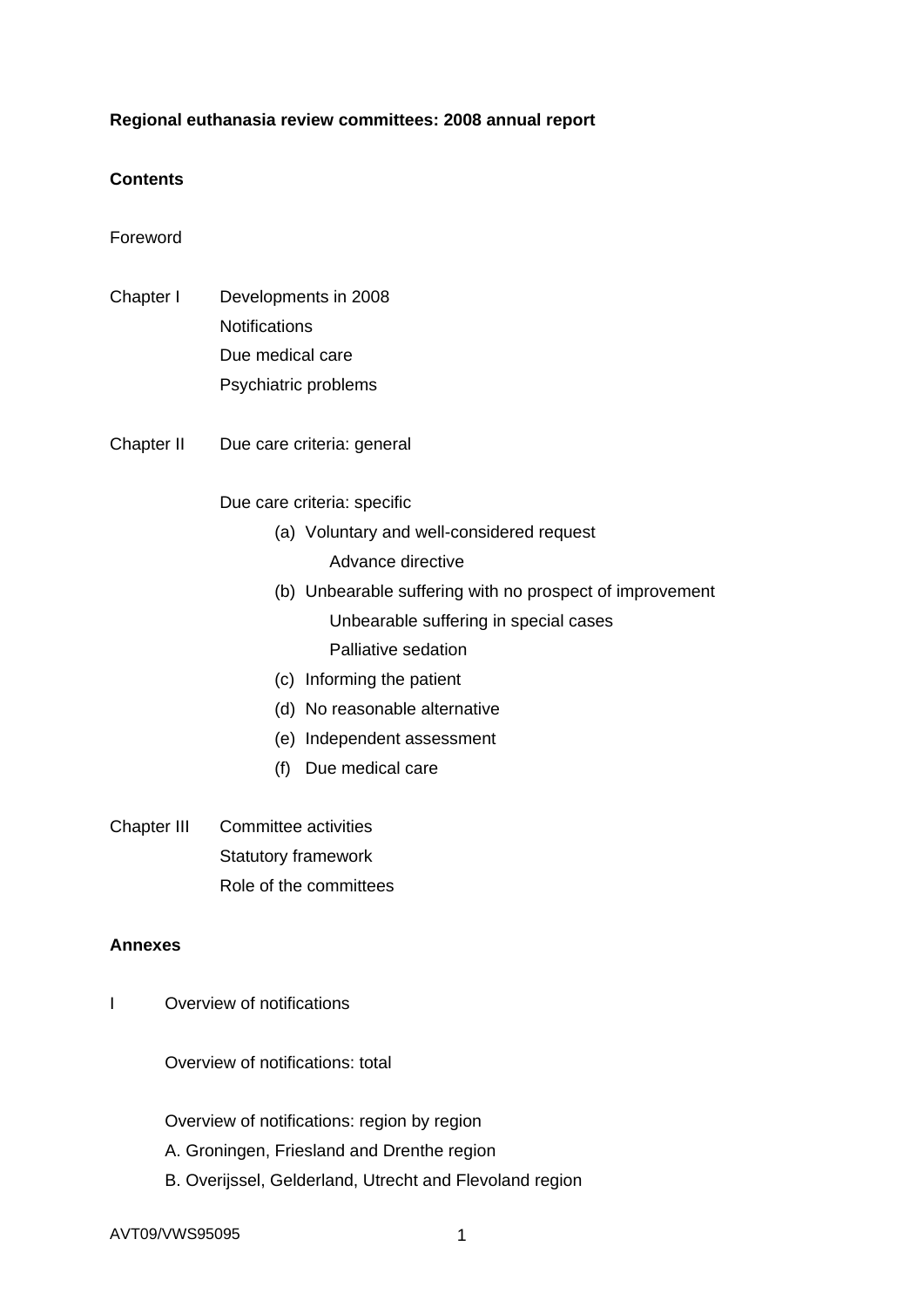## **Regional euthanasia review committees: 2008 annual report**

## **Contents**

Foreword

- Chapter I Developments in 2008 **Notifications**  Due medical care Psychiatric problems
- Chapter II Due care criteria: general

Due care criteria: specific

(a) Voluntary and well-considered request

Advance directive

(b) Unbearable suffering with no prospect of improvement Unbearable suffering in special cases

Palliative sedation

- (c) Informing the patient
- (d) No reasonable alternative
- (e) Independent assessment
- (f) Due medical care
- Chapter III Committee activities Statutory framework Role of the committees

### **Annexes**

I Overview of notifications

Overview of notifications: total

Overview of notifications: region by region

- A. Groningen, Friesland and Drenthe region
- B. Overijssel, Gelderland, Utrecht and Flevoland region

AVT09/VWS95095 1 1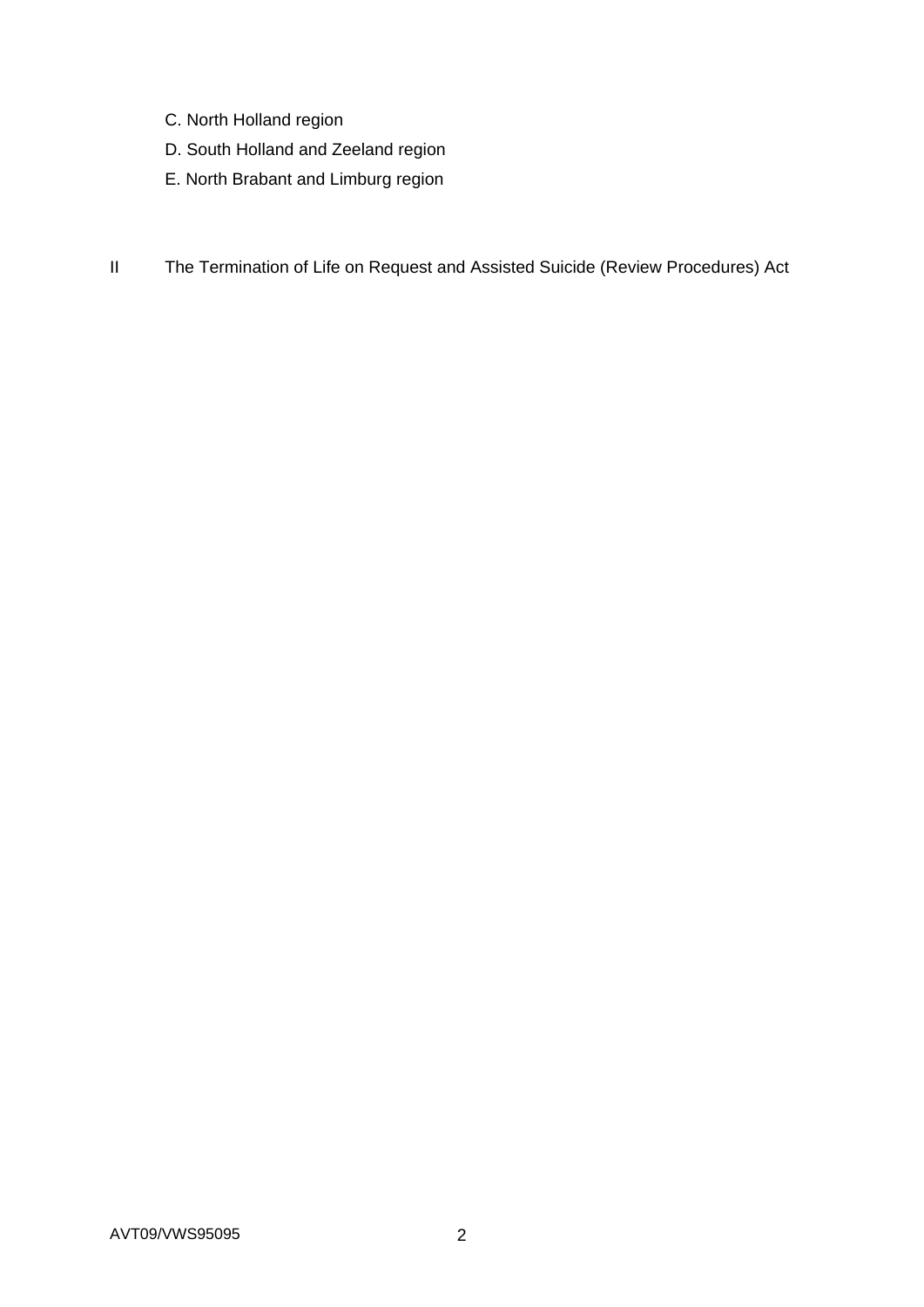- C. North Holland region
- D. South Holland and Zeeland region
- E. North Brabant and Limburg region
- II The Termination of Life on Request and Assisted Suicide (Review Procedures) Act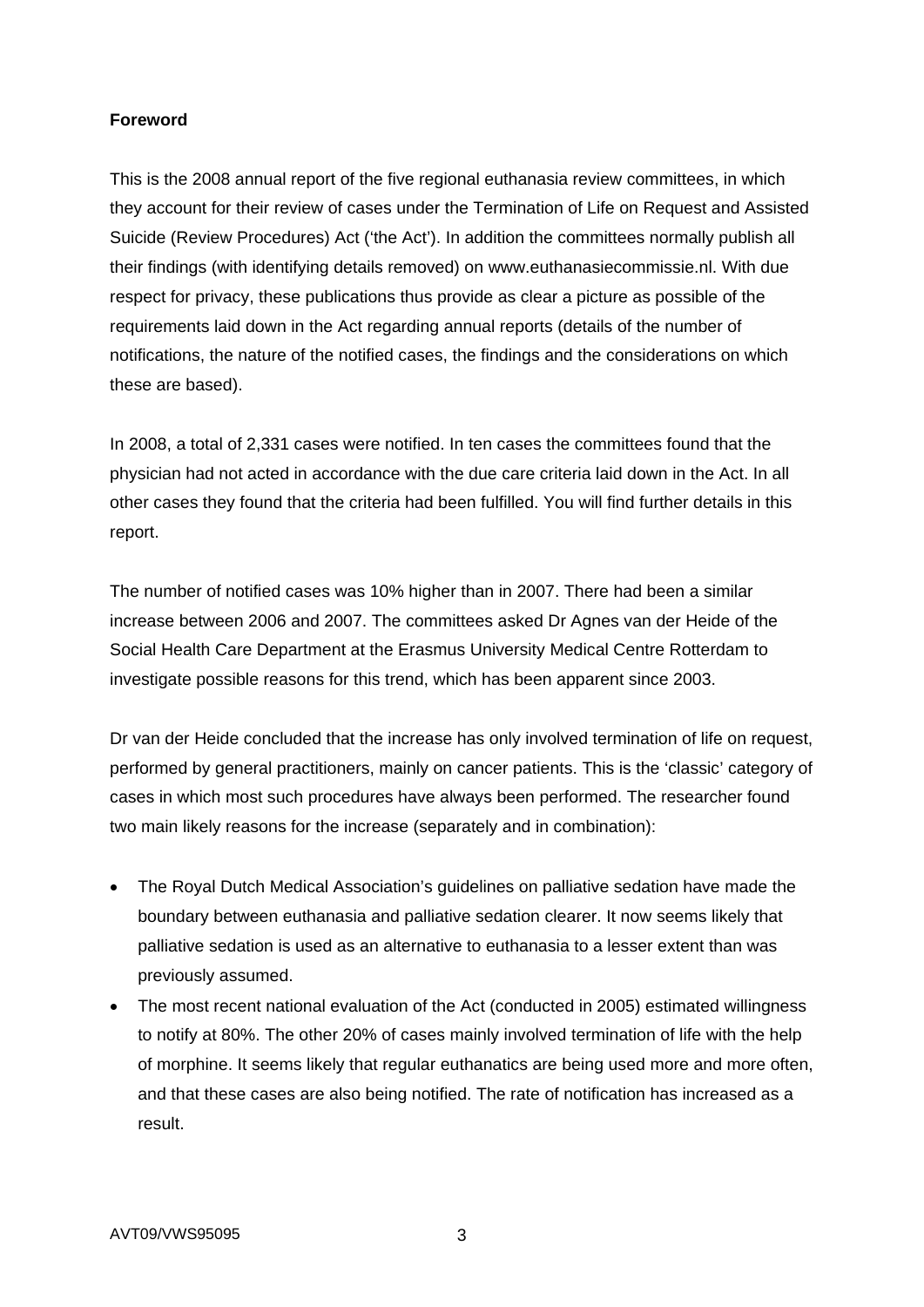## **Foreword**

This is the 2008 annual report of the five regional euthanasia review committees, in which they account for their review of cases under the Termination of Life on Request and Assisted Suicide (Review Procedures) Act ('the Act'). In addition the committees normally publish all their findings (with identifying details removed) on www.euthanasiecommissie.nl. With due respect for privacy, these publications thus provide as clear a picture as possible of the requirements laid down in the Act regarding annual reports (details of the number of notifications, the nature of the notified cases, the findings and the considerations on which these are based).

In 2008, a total of 2,331 cases were notified. In ten cases the committees found that the physician had not acted in accordance with the due care criteria laid down in the Act. In all other cases they found that the criteria had been fulfilled. You will find further details in this report.

The number of notified cases was 10% higher than in 2007. There had been a similar increase between 2006 and 2007. The committees asked Dr Agnes van der Heide of the Social Health Care Department at the Erasmus University Medical Centre Rotterdam to investigate possible reasons for this trend, which has been apparent since 2003.

Dr van der Heide concluded that the increase has only involved termination of life on request, performed by general practitioners, mainly on cancer patients. This is the 'classic' category of cases in which most such procedures have always been performed. The researcher found two main likely reasons for the increase (separately and in combination):

- The Royal Dutch Medical Association's guidelines on palliative sedation have made the boundary between euthanasia and palliative sedation clearer. It now seems likely that palliative sedation is used as an alternative to euthanasia to a lesser extent than was previously assumed.
- The most recent national evaluation of the Act (conducted in 2005) estimated willingness to notify at 80%. The other 20% of cases mainly involved termination of life with the help of morphine. It seems likely that regular euthanatics are being used more and more often, and that these cases are also being notified. The rate of notification has increased as a result.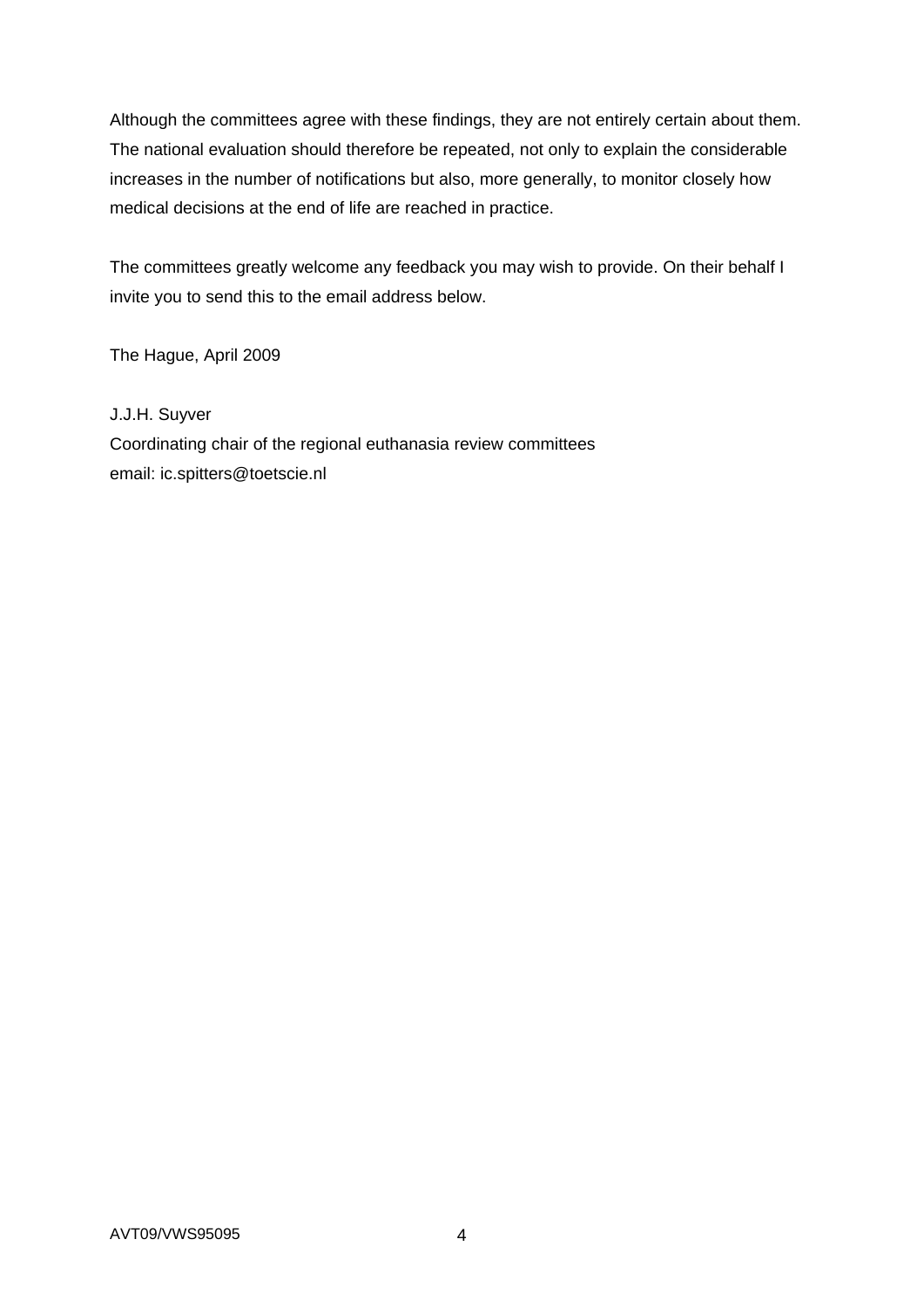Although the committees agree with these findings, they are not entirely certain about them. The national evaluation should therefore be repeated, not only to explain the considerable increases in the number of notifications but also, more generally, to monitor closely how medical decisions at the end of life are reached in practice.

The committees greatly welcome any feedback you may wish to provide. On their behalf I invite you to send this to the email address below.

The Hague, April 2009

## J.J.H. Suyver

Coordinating chair of the regional euthanasia review committees email: ic.spitters@toetscie.nl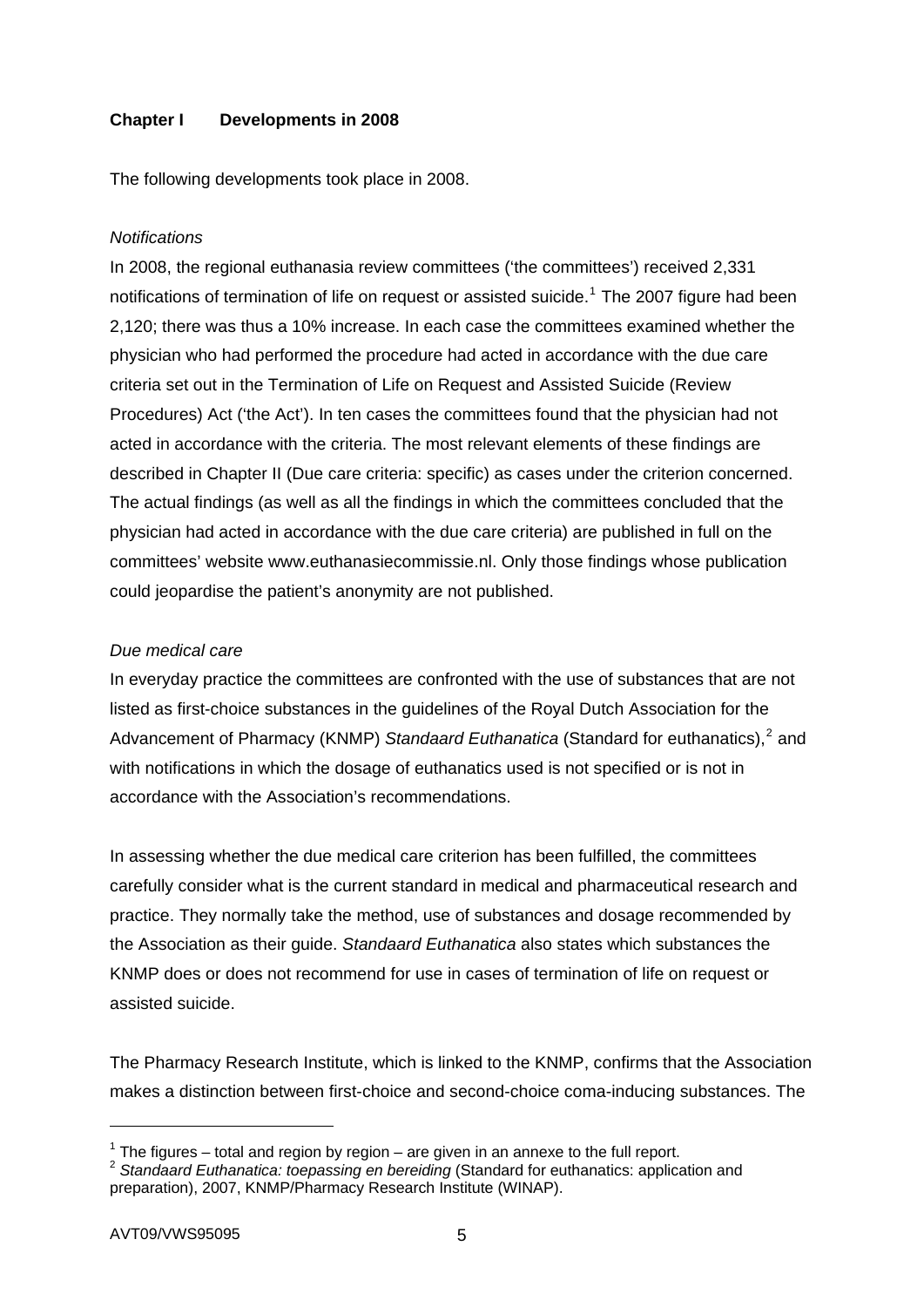## **Chapter I Developments in 2008**

The following developments took place in 2008.

### *Notifications*

In 2008, the regional euthanasia review committees ('the committees') received 2,331 notifications of termination of life on request or assisted suicide.<sup>[1](#page-4-0)</sup> The 2007 figure had been 2,120; there was thus a 10% increase. In each case the committees examined whether the physician who had performed the procedure had acted in accordance with the due care criteria set out in the Termination of Life on Request and Assisted Suicide (Review Procedures) Act ('the Act'). In ten cases the committees found that the physician had not acted in accordance with the criteria. The most relevant elements of these findings are described in Chapter II (Due care criteria: specific) as cases under the criterion concerned. The actual findings (as well as all the findings in which the committees concluded that the physician had acted in accordance with the due care criteria) are published in full on the committees' website www.euthanasiecommissie.nl. Only those findings whose publication could jeopardise the patient's anonymity are not published.

### *Due medical care*

In everyday practice the committees are confronted with the use of substances that are not listed as first-choice substances in the guidelines of the Royal Dutch Association for the Advancement of Pharmacy (KNMP) Standaard Euthanatica (Standard for euthanatics),<sup>[2](#page-4-1)</sup> and with notifications in which the dosage of euthanatics used is not specified or is not in accordance with the Association's recommendations.

In assessing whether the due medical care criterion has been fulfilled, the committees carefully consider what is the current standard in medical and pharmaceutical research and practice. They normally take the method, use of substances and dosage recommended by the Association as their guide. *Standaard Euthanatica* also states which substances the KNMP does or does not recommend for use in cases of termination of life on request or assisted suicide.

The Pharmacy Research Institute, which is linked to the KNMP, confirms that the Association makes a distinction between first-choice and second-choice coma-inducing substances. The

-

 $1$  The figures – total and region by region – are given in an annexe to the full report.

<span id="page-4-1"></span><span id="page-4-0"></span><sup>2</sup> *Standaard Euthanatica: toepassing en bereiding* (Standard for euthanatics: application and preparation), 2007, KNMP/Pharmacy Research Institute (WINAP).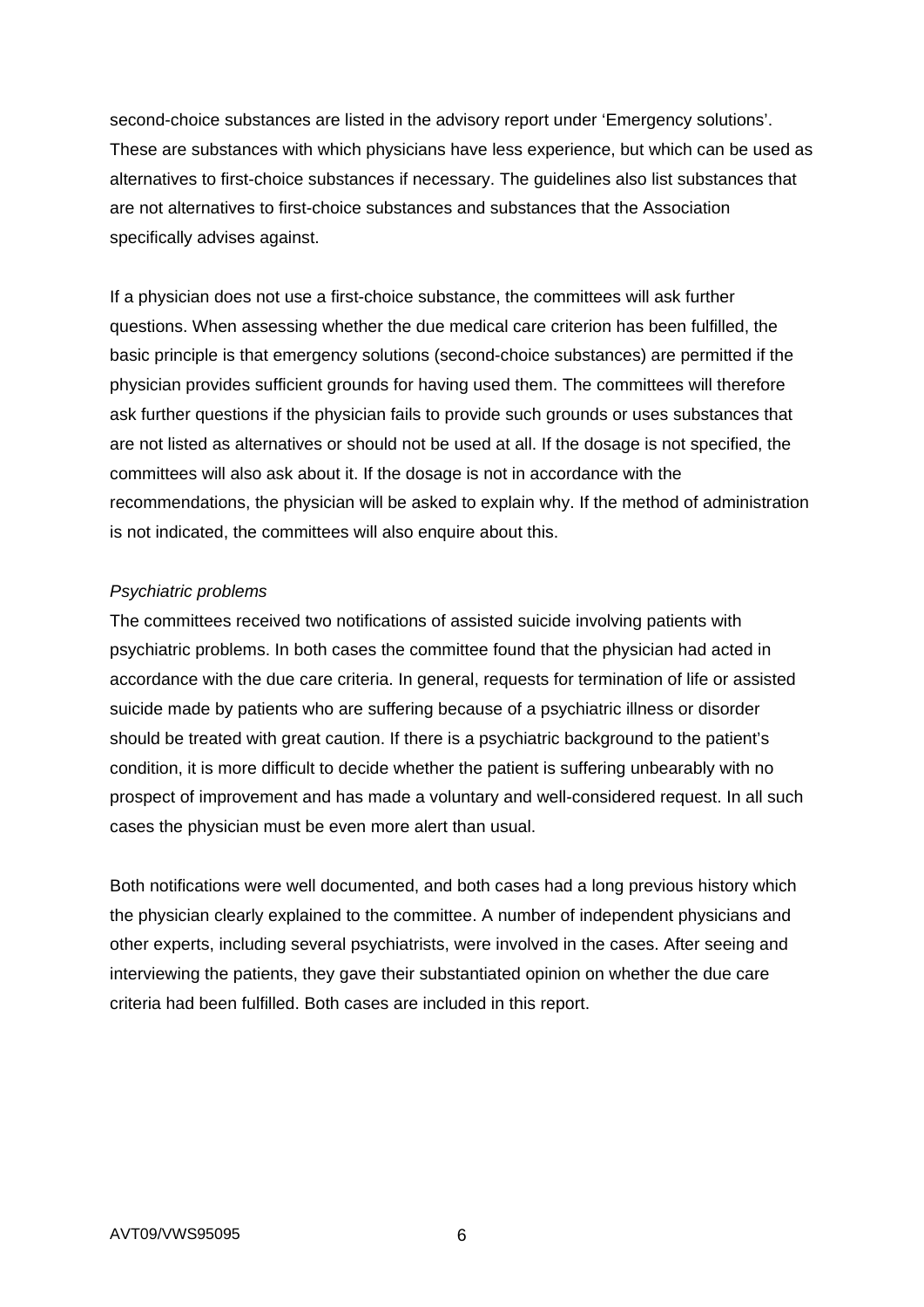second-choice substances are listed in the advisory report under 'Emergency solutions'. These are substances with which physicians have less experience, but which can be used as alternatives to first-choice substances if necessary. The guidelines also list substances that are not alternatives to first-choice substances and substances that the Association specifically advises against.

If a physician does not use a first-choice substance, the committees will ask further questions. When assessing whether the due medical care criterion has been fulfilled, the basic principle is that emergency solutions (second-choice substances) are permitted if the physician provides sufficient grounds for having used them. The committees will therefore ask further questions if the physician fails to provide such grounds or uses substances that are not listed as alternatives or should not be used at all. If the dosage is not specified, the committees will also ask about it. If the dosage is not in accordance with the recommendations, the physician will be asked to explain why. If the method of administration is not indicated, the committees will also enquire about this.

### *Psychiatric problems*

The committees received two notifications of assisted suicide involving patients with psychiatric problems. In both cases the committee found that the physician had acted in accordance with the due care criteria. In general, requests for termination of life or assisted suicide made by patients who are suffering because of a psychiatric illness or disorder should be treated with great caution. If there is a psychiatric background to the patient's condition, it is more difficult to decide whether the patient is suffering unbearably with no prospect of improvement and has made a voluntary and well-considered request. In all such cases the physician must be even more alert than usual.

Both notifications were well documented, and both cases had a long previous history which the physician clearly explained to the committee. A number of independent physicians and other experts, including several psychiatrists, were involved in the cases. After seeing and interviewing the patients, they gave their substantiated opinion on whether the due care criteria had been fulfilled. Both cases are included in this report.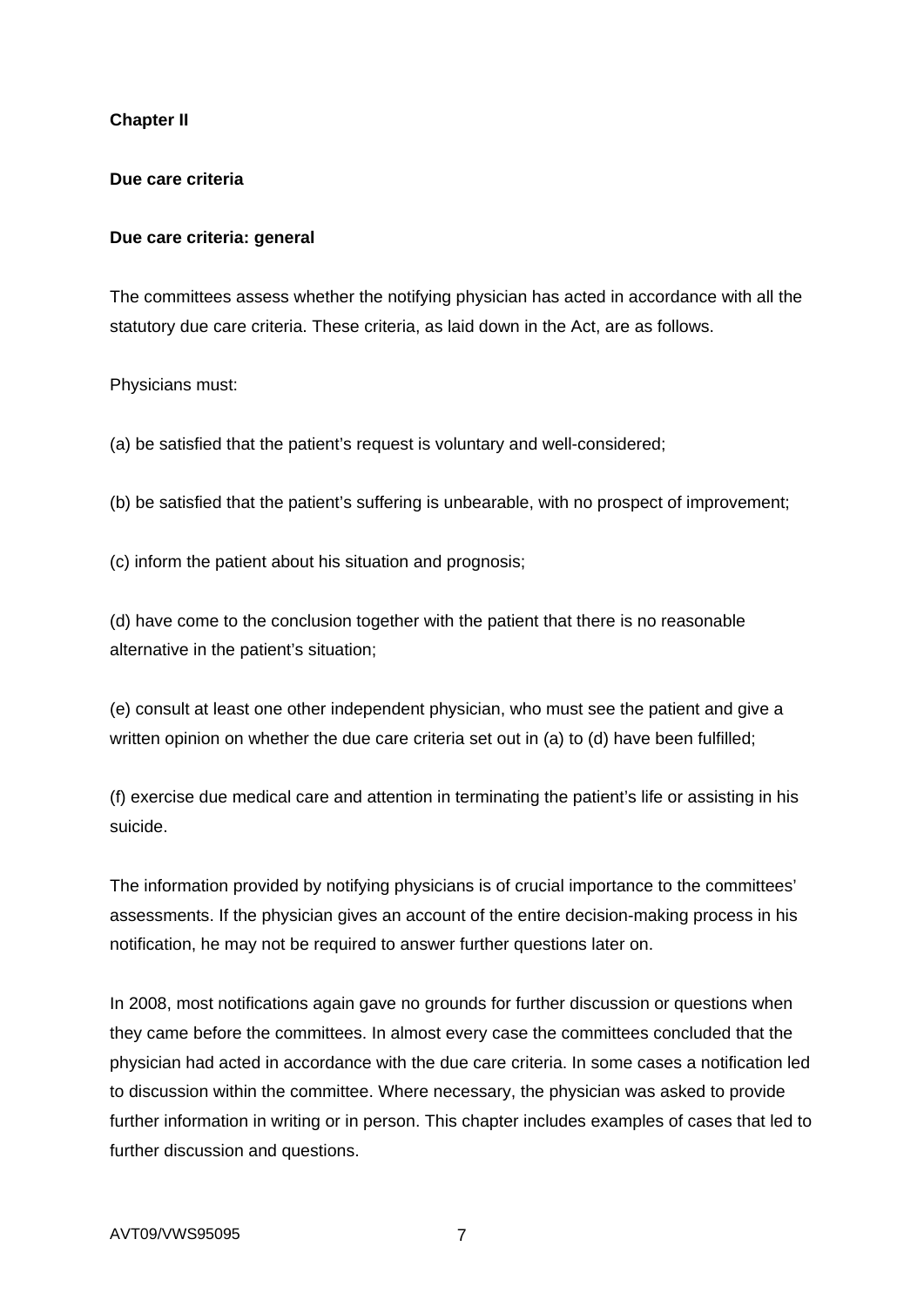## **Chapter II**

## **Due care criteria**

## **Due care criteria: general**

The committees assess whether the notifying physician has acted in accordance with all the statutory due care criteria. These criteria, as laid down in the Act, are as follows.

Physicians must:

(a) be satisfied that the patient's request is voluntary and well-considered;

(b) be satisfied that the patient's suffering is unbearable, with no prospect of improvement;

(c) inform the patient about his situation and prognosis;

(d) have come to the conclusion together with the patient that there is no reasonable alternative in the patient's situation;

(e) consult at least one other independent physician, who must see the patient and give a written opinion on whether the due care criteria set out in (a) to (d) have been fulfilled;

(f) exercise due medical care and attention in terminating the patient's life or assisting in his suicide.

The information provided by notifying physicians is of crucial importance to the committees' assessments. If the physician gives an account of the entire decision-making process in his notification, he may not be required to answer further questions later on.

In 2008, most notifications again gave no grounds for further discussion or questions when they came before the committees. In almost every case the committees concluded that the physician had acted in accordance with the due care criteria. In some cases a notification led to discussion within the committee. Where necessary, the physician was asked to provide further information in writing or in person. This chapter includes examples of cases that led to further discussion and questions.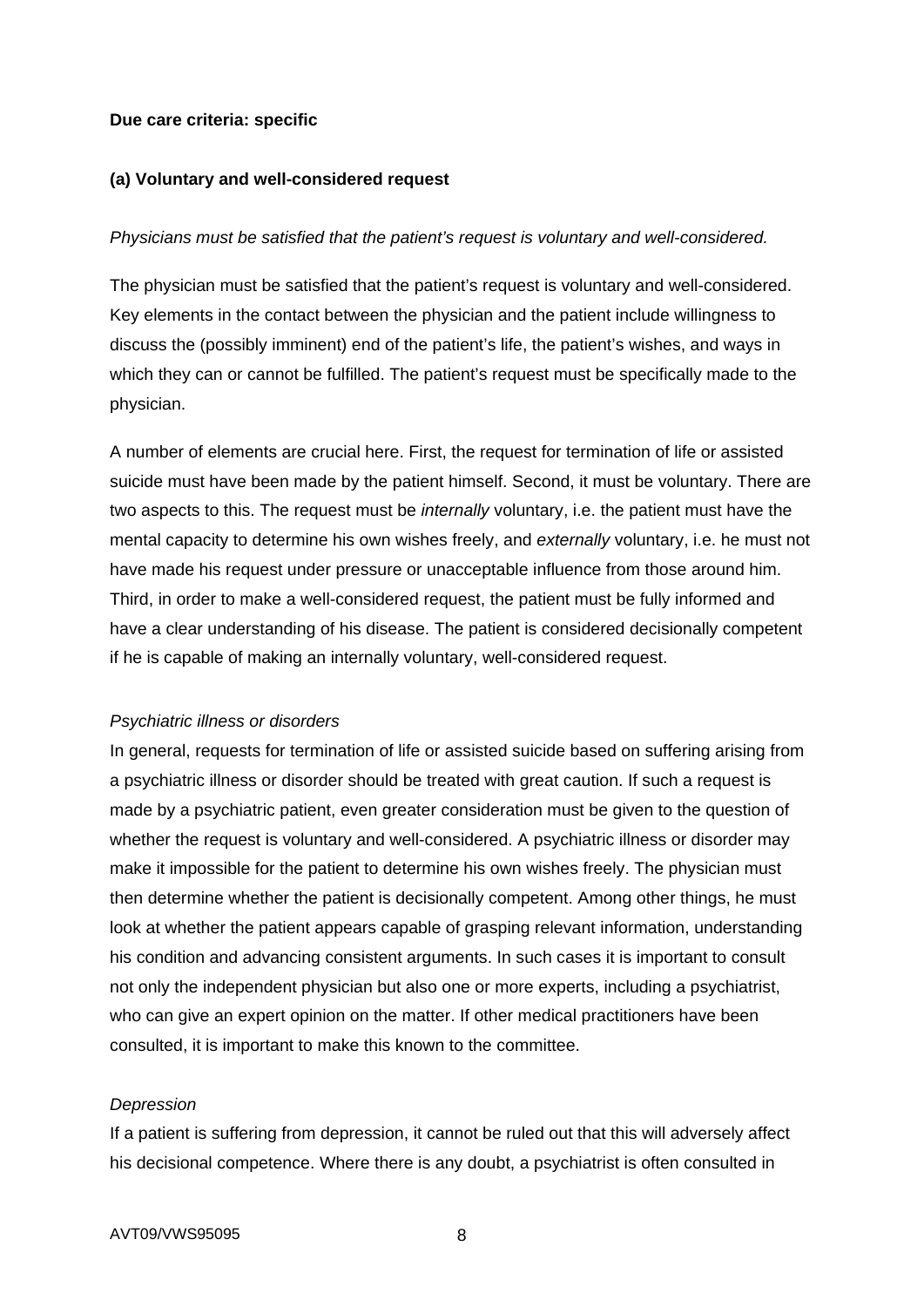### **Due care criteria: specific**

### **(a) Voluntary and well-considered request**

### *Physicians must be satisfied that the patient's request is voluntary and well-considered.*

The physician must be satisfied that the patient's request is voluntary and well-considered. Key elements in the contact between the physician and the patient include willingness to discuss the (possibly imminent) end of the patient's life, the patient's wishes, and ways in which they can or cannot be fulfilled. The patient's request must be specifically made to the physician.

A number of elements are crucial here. First, the request for termination of life or assisted suicide must have been made by the patient himself. Second, it must be voluntary. There are two aspects to this. The request must be *internally* voluntary, i.e. the patient must have the mental capacity to determine his own wishes freely, and *externally* voluntary, i.e. he must not have made his request under pressure or unacceptable influence from those around him. Third, in order to make a well-considered request, the patient must be fully informed and have a clear understanding of his disease. The patient is considered decisionally competent if he is capable of making an internally voluntary, well-considered request.

### *Psychiatric illness or disorders*

In general, requests for termination of life or assisted suicide based on suffering arising from a psychiatric illness or disorder should be treated with great caution. If such a request is made by a psychiatric patient, even greater consideration must be given to the question of whether the request is voluntary and well-considered. A psychiatric illness or disorder may make it impossible for the patient to determine his own wishes freely. The physician must then determine whether the patient is decisionally competent. Among other things, he must look at whether the patient appears capable of grasping relevant information, understanding his condition and advancing consistent arguments. In such cases it is important to consult not only the independent physician but also one or more experts, including a psychiatrist, who can give an expert opinion on the matter. If other medical practitioners have been consulted, it is important to make this known to the committee.

### *Depression*

If a patient is suffering from depression, it cannot be ruled out that this will adversely affect his decisional competence. Where there is any doubt, a psychiatrist is often consulted in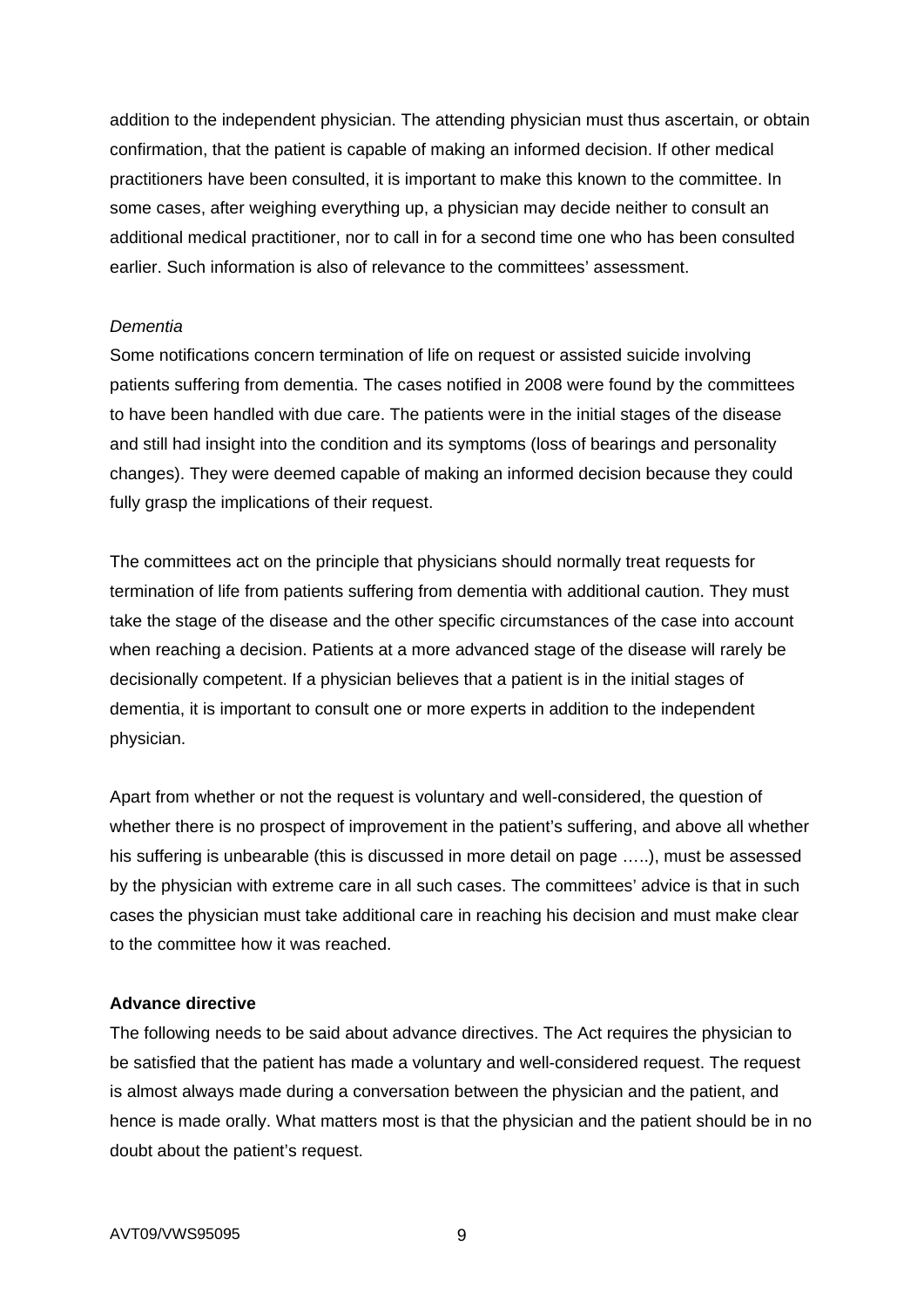addition to the independent physician. The attending physician must thus ascertain, or obtain confirmation, that the patient is capable of making an informed decision. If other medical practitioners have been consulted, it is important to make this known to the committee. In some cases, after weighing everything up, a physician may decide neither to consult an additional medical practitioner, nor to call in for a second time one who has been consulted earlier. Such information is also of relevance to the committees' assessment.

### *Dementia*

Some notifications concern termination of life on request or assisted suicide involving patients suffering from dementia. The cases notified in 2008 were found by the committees to have been handled with due care. The patients were in the initial stages of the disease and still had insight into the condition and its symptoms (loss of bearings and personality changes). They were deemed capable of making an informed decision because they could fully grasp the implications of their request.

The committees act on the principle that physicians should normally treat requests for termination of life from patients suffering from dementia with additional caution. They must take the stage of the disease and the other specific circumstances of the case into account when reaching a decision. Patients at a more advanced stage of the disease will rarely be decisionally competent. If a physician believes that a patient is in the initial stages of dementia, it is important to consult one or more experts in addition to the independent physician.

Apart from whether or not the request is voluntary and well-considered, the question of whether there is no prospect of improvement in the patient's suffering, and above all whether his suffering is unbearable (this is discussed in more detail on page …..), must be assessed by the physician with extreme care in all such cases. The committees' advice is that in such cases the physician must take additional care in reaching his decision and must make clear to the committee how it was reached.

## **Advance directive**

The following needs to be said about advance directives. The Act requires the physician to be satisfied that the patient has made a voluntary and well-considered request. The request is almost always made during a conversation between the physician and the patient, and hence is made orally. What matters most is that the physician and the patient should be in no doubt about the patient's request.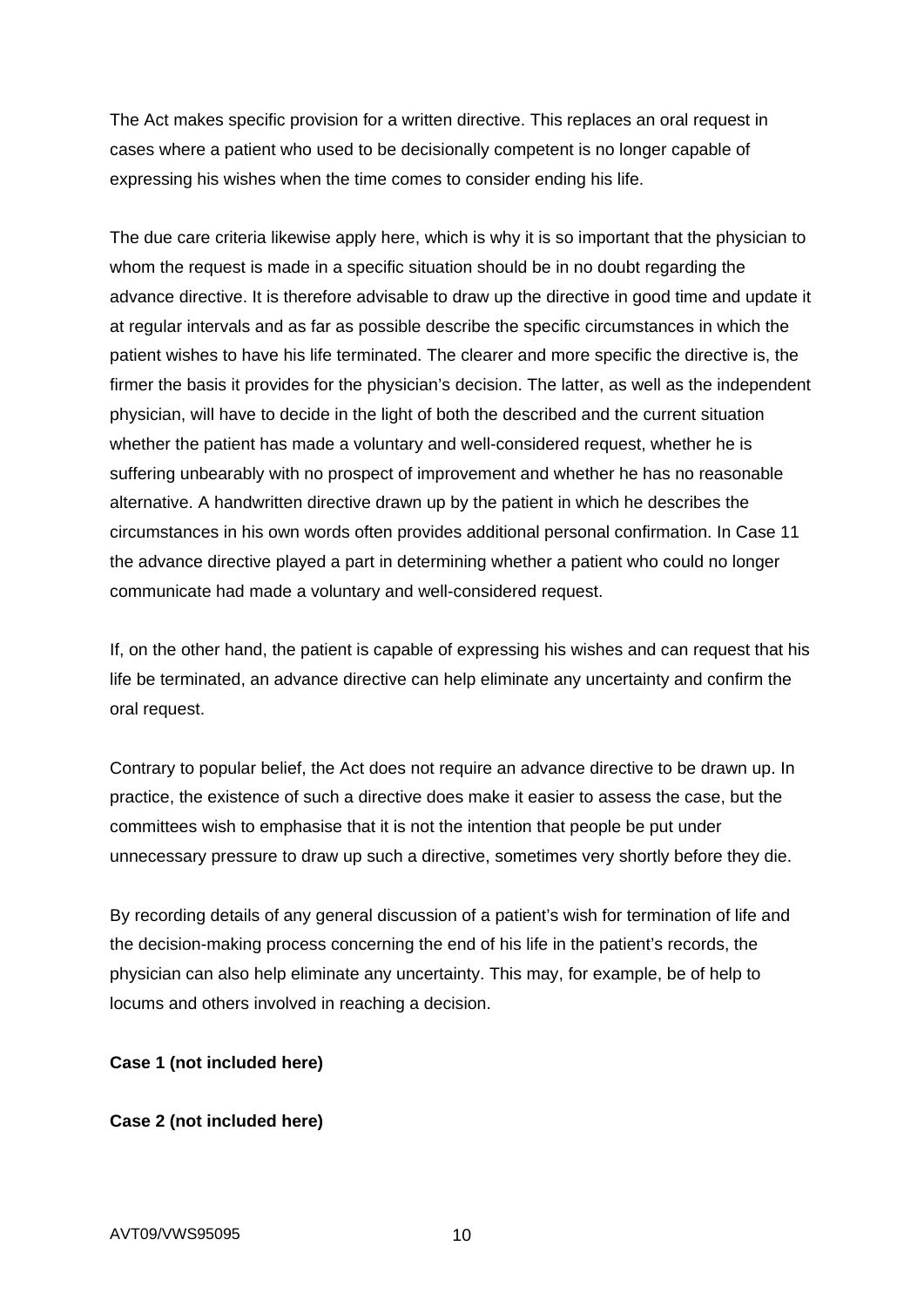The Act makes specific provision for a written directive. This replaces an oral request in cases where a patient who used to be decisionally competent is no longer capable of expressing his wishes when the time comes to consider ending his life.

The due care criteria likewise apply here, which is why it is so important that the physician to whom the request is made in a specific situation should be in no doubt regarding the advance directive. It is therefore advisable to draw up the directive in good time and update it at regular intervals and as far as possible describe the specific circumstances in which the patient wishes to have his life terminated. The clearer and more specific the directive is, the firmer the basis it provides for the physician's decision. The latter, as well as the independent physician, will have to decide in the light of both the described and the current situation whether the patient has made a voluntary and well-considered request, whether he is suffering unbearably with no prospect of improvement and whether he has no reasonable alternative. A handwritten directive drawn up by the patient in which he describes the circumstances in his own words often provides additional personal confirmation. In Case 11 the advance directive played a part in determining whether a patient who could no longer communicate had made a voluntary and well-considered request.

If, on the other hand, the patient is capable of expressing his wishes and can request that his life be terminated, an advance directive can help eliminate any uncertainty and confirm the oral request.

Contrary to popular belief, the Act does not require an advance directive to be drawn up. In practice, the existence of such a directive does make it easier to assess the case, but the committees wish to emphasise that it is not the intention that people be put under unnecessary pressure to draw up such a directive, sometimes very shortly before they die.

By recording details of any general discussion of a patient's wish for termination of life and the decision-making process concerning the end of his life in the patient's records, the physician can also help eliminate any uncertainty. This may, for example, be of help to locums and others involved in reaching a decision.

### **Case 1 (not included here)**

## **Case 2 (not included here)**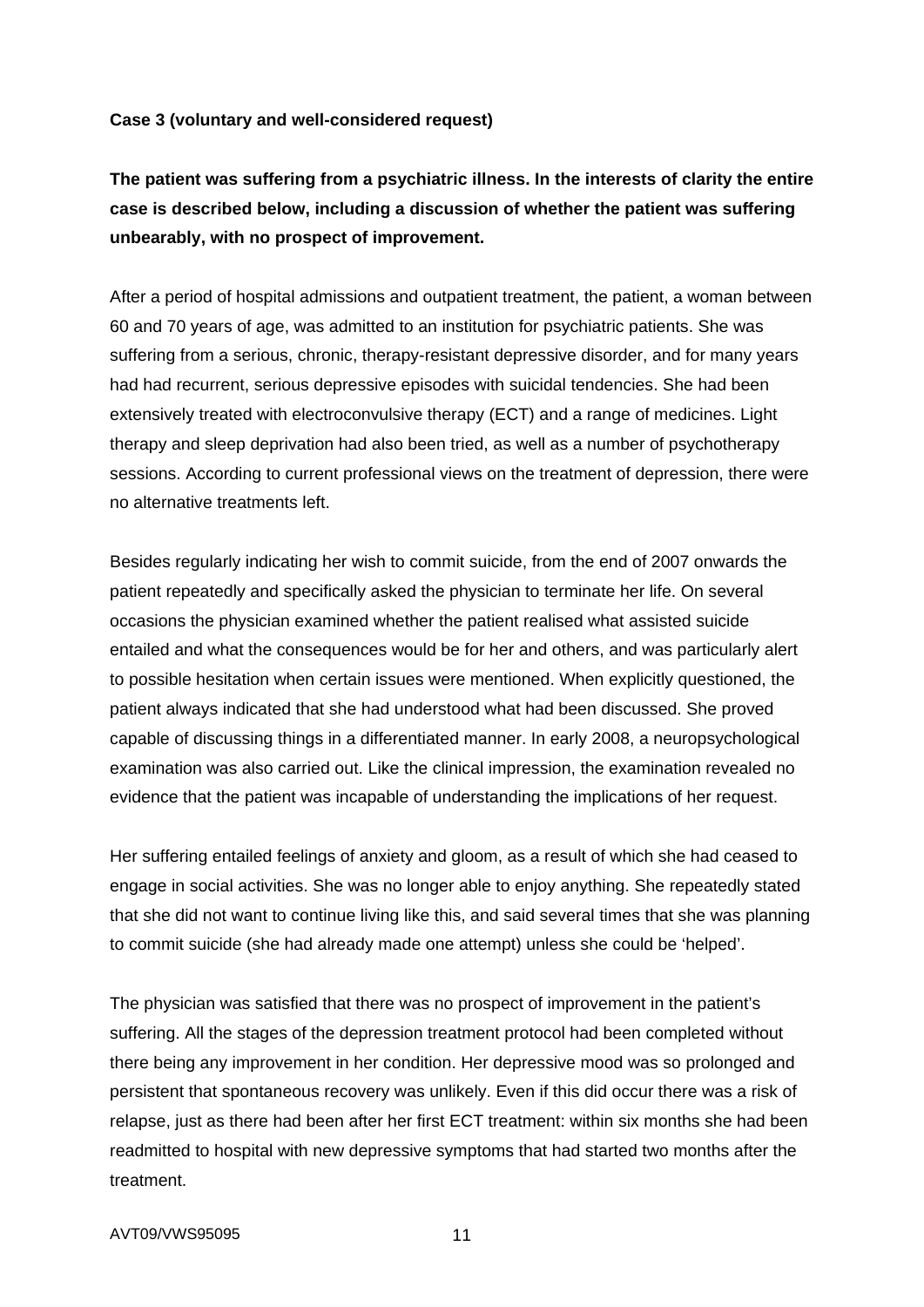### **Case 3 (voluntary and well-considered request)**

# **The patient was suffering from a psychiatric illness. In the interests of clarity the entire case is described below, including a discussion of whether the patient was suffering unbearably, with no prospect of improvement.**

After a period of hospital admissions and outpatient treatment, the patient, a woman between 60 and 70 years of age, was admitted to an institution for psychiatric patients. She was suffering from a serious, chronic, therapy-resistant depressive disorder, and for many years had had recurrent, serious depressive episodes with suicidal tendencies. She had been extensively treated with electroconvulsive therapy (ECT) and a range of medicines. Light therapy and sleep deprivation had also been tried, as well as a number of psychotherapy sessions. According to current professional views on the treatment of depression, there were no alternative treatments left.

Besides regularly indicating her wish to commit suicide, from the end of 2007 onwards the patient repeatedly and specifically asked the physician to terminate her life. On several occasions the physician examined whether the patient realised what assisted suicide entailed and what the consequences would be for her and others, and was particularly alert to possible hesitation when certain issues were mentioned. When explicitly questioned, the patient always indicated that she had understood what had been discussed. She proved capable of discussing things in a differentiated manner. In early 2008, a neuropsychological examination was also carried out. Like the clinical impression, the examination revealed no evidence that the patient was incapable of understanding the implications of her request.

Her suffering entailed feelings of anxiety and gloom, as a result of which she had ceased to engage in social activities. She was no longer able to enjoy anything. She repeatedly stated that she did not want to continue living like this, and said several times that she was planning to commit suicide (she had already made one attempt) unless she could be 'helped'.

The physician was satisfied that there was no prospect of improvement in the patient's suffering. All the stages of the depression treatment protocol had been completed without there being any improvement in her condition. Her depressive mood was so prolonged and persistent that spontaneous recovery was unlikely. Even if this did occur there was a risk of relapse, just as there had been after her first ECT treatment: within six months she had been readmitted to hospital with new depressive symptoms that had started two months after the treatment.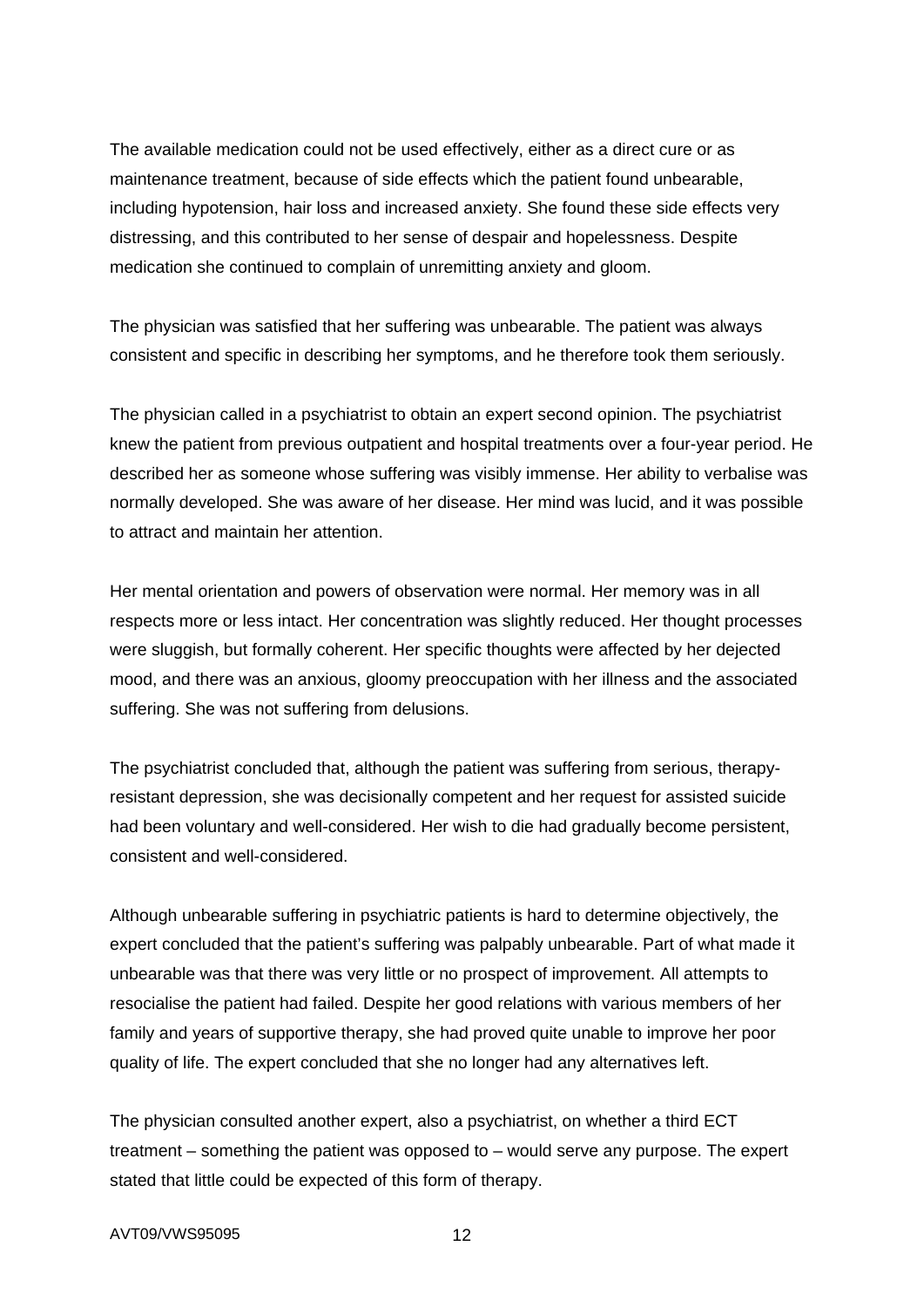The available medication could not be used effectively, either as a direct cure or as maintenance treatment, because of side effects which the patient found unbearable, including hypotension, hair loss and increased anxiety. She found these side effects very distressing, and this contributed to her sense of despair and hopelessness. Despite medication she continued to complain of unremitting anxiety and gloom.

The physician was satisfied that her suffering was unbearable. The patient was always consistent and specific in describing her symptoms, and he therefore took them seriously.

The physician called in a psychiatrist to obtain an expert second opinion. The psychiatrist knew the patient from previous outpatient and hospital treatments over a four-year period. He described her as someone whose suffering was visibly immense. Her ability to verbalise was normally developed. She was aware of her disease. Her mind was lucid, and it was possible to attract and maintain her attention.

Her mental orientation and powers of observation were normal. Her memory was in all respects more or less intact. Her concentration was slightly reduced. Her thought processes were sluggish, but formally coherent. Her specific thoughts were affected by her dejected mood, and there was an anxious, gloomy preoccupation with her illness and the associated suffering. She was not suffering from delusions.

The psychiatrist concluded that, although the patient was suffering from serious, therapyresistant depression, she was decisionally competent and her request for assisted suicide had been voluntary and well-considered. Her wish to die had gradually become persistent, consistent and well-considered.

Although unbearable suffering in psychiatric patients is hard to determine objectively, the expert concluded that the patient's suffering was palpably unbearable. Part of what made it unbearable was that there was very little or no prospect of improvement. All attempts to resocialise the patient had failed. Despite her good relations with various members of her family and years of supportive therapy, she had proved quite unable to improve her poor quality of life. The expert concluded that she no longer had any alternatives left.

The physician consulted another expert, also a psychiatrist, on whether a third ECT treatment – something the patient was opposed to – would serve any purpose. The expert stated that little could be expected of this form of therapy.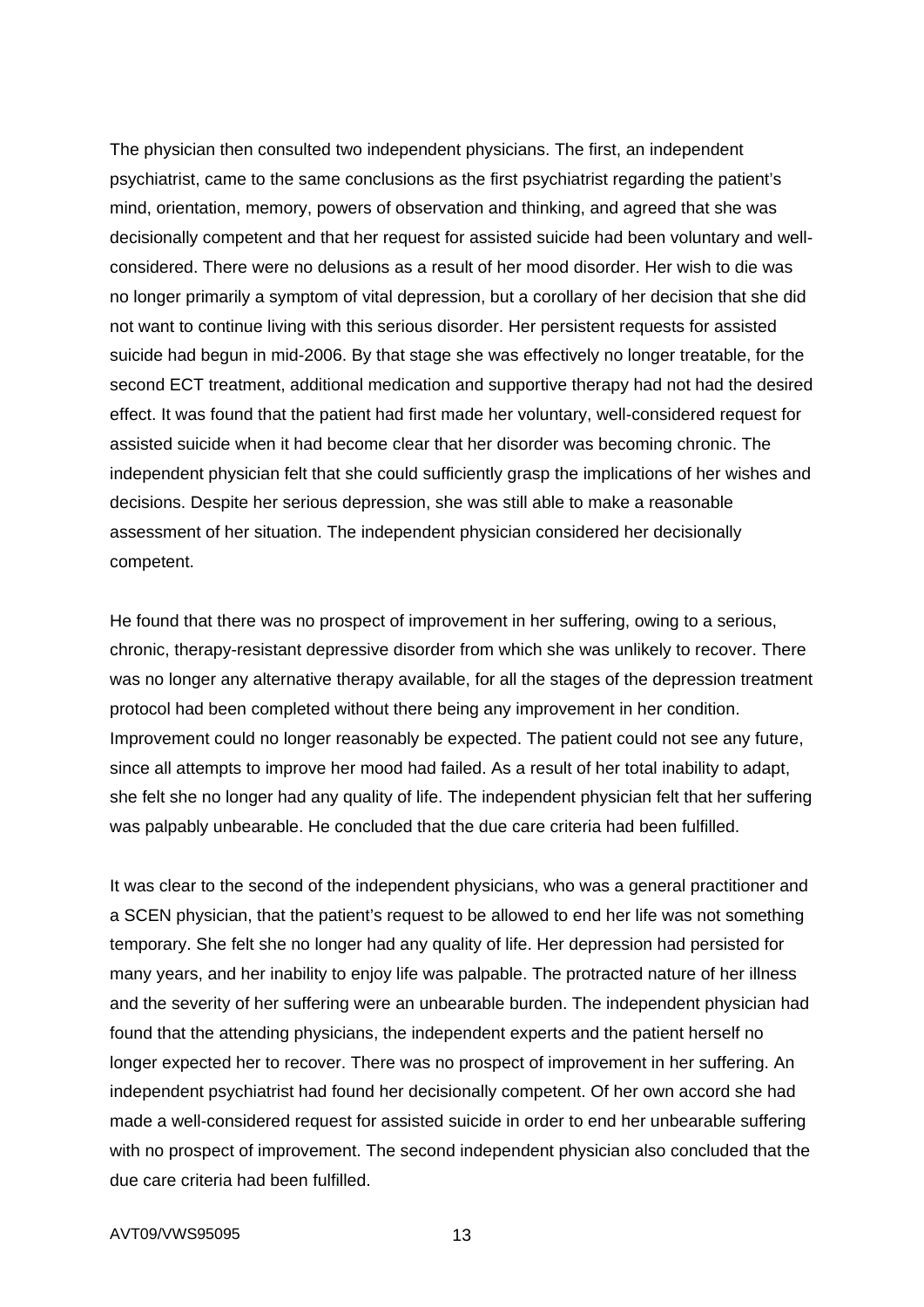The physician then consulted two independent physicians. The first, an independent psychiatrist, came to the same conclusions as the first psychiatrist regarding the patient's mind, orientation, memory, powers of observation and thinking, and agreed that she was decisionally competent and that her request for assisted suicide had been voluntary and wellconsidered. There were no delusions as a result of her mood disorder. Her wish to die was no longer primarily a symptom of vital depression, but a corollary of her decision that she did not want to continue living with this serious disorder. Her persistent requests for assisted suicide had begun in mid-2006. By that stage she was effectively no longer treatable, for the second ECT treatment, additional medication and supportive therapy had not had the desired effect. It was found that the patient had first made her voluntary, well-considered request for assisted suicide when it had become clear that her disorder was becoming chronic. The independent physician felt that she could sufficiently grasp the implications of her wishes and decisions. Despite her serious depression, she was still able to make a reasonable assessment of her situation. The independent physician considered her decisionally competent.

He found that there was no prospect of improvement in her suffering, owing to a serious, chronic, therapy-resistant depressive disorder from which she was unlikely to recover. There was no longer any alternative therapy available, for all the stages of the depression treatment protocol had been completed without there being any improvement in her condition. Improvement could no longer reasonably be expected. The patient could not see any future, since all attempts to improve her mood had failed. As a result of her total inability to adapt, she felt she no longer had any quality of life. The independent physician felt that her suffering was palpably unbearable. He concluded that the due care criteria had been fulfilled.

It was clear to the second of the independent physicians, who was a general practitioner and a SCEN physician, that the patient's request to be allowed to end her life was not something temporary. She felt she no longer had any quality of life. Her depression had persisted for many years, and her inability to enjoy life was palpable. The protracted nature of her illness and the severity of her suffering were an unbearable burden. The independent physician had found that the attending physicians, the independent experts and the patient herself no longer expected her to recover. There was no prospect of improvement in her suffering. An independent psychiatrist had found her decisionally competent. Of her own accord she had made a well-considered request for assisted suicide in order to end her unbearable suffering with no prospect of improvement. The second independent physician also concluded that the due care criteria had been fulfilled.

#### AVT09/VWS95095 13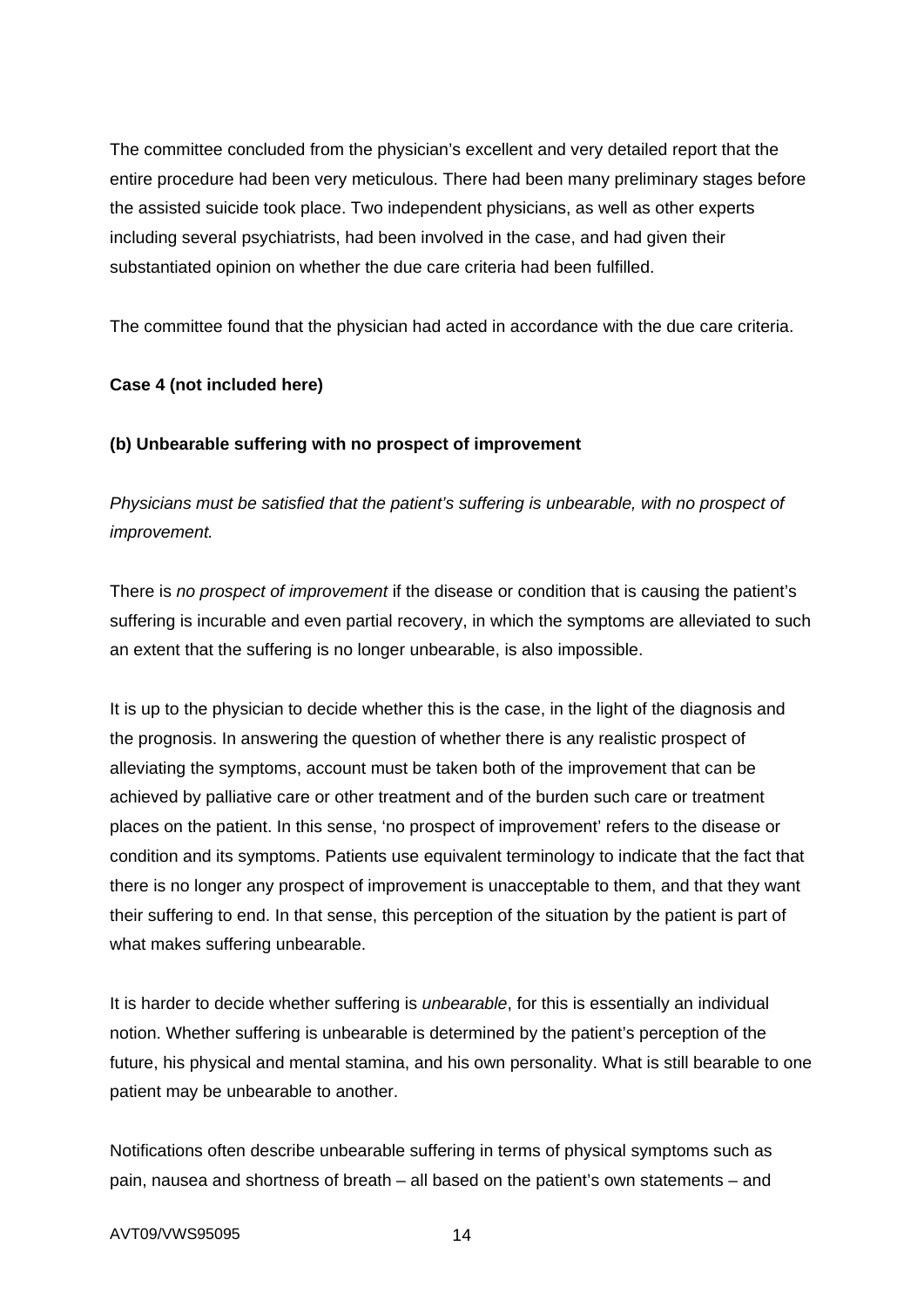The committee concluded from the physician's excellent and very detailed report that the entire procedure had been very meticulous. There had been many preliminary stages before the assisted suicide took place. Two independent physicians, as well as other experts including several psychiatrists, had been involved in the case, and had given their substantiated opinion on whether the due care criteria had been fulfilled.

The committee found that the physician had acted in accordance with the due care criteria.

# **Case 4 (not included here)**

# **(b) Unbearable suffering with no prospect of improvement**

*Physicians must be satisfied that the patient's suffering is unbearable, with no prospect of improvement.*

There is *no prospect of improvement* if the disease or condition that is causing the patient's suffering is incurable and even partial recovery, in which the symptoms are alleviated to such an extent that the suffering is no longer unbearable, is also impossible.

It is up to the physician to decide whether this is the case, in the light of the diagnosis and the prognosis. In answering the question of whether there is any realistic prospect of alleviating the symptoms, account must be taken both of the improvement that can be achieved by palliative care or other treatment and of the burden such care or treatment places on the patient. In this sense, 'no prospect of improvement' refers to the disease or condition and its symptoms. Patients use equivalent terminology to indicate that the fact that there is no longer any prospect of improvement is unacceptable to them, and that they want their suffering to end. In that sense, this perception of the situation by the patient is part of what makes suffering unbearable.

It is harder to decide whether suffering is *unbearable*, for this is essentially an individual notion. Whether suffering is unbearable is determined by the patient's perception of the future, his physical and mental stamina, and his own personality. What is still bearable to one patient may be unbearable to another.

Notifications often describe unbearable suffering in terms of physical symptoms such as pain, nausea and shortness of breath – all based on the patient's own statements – and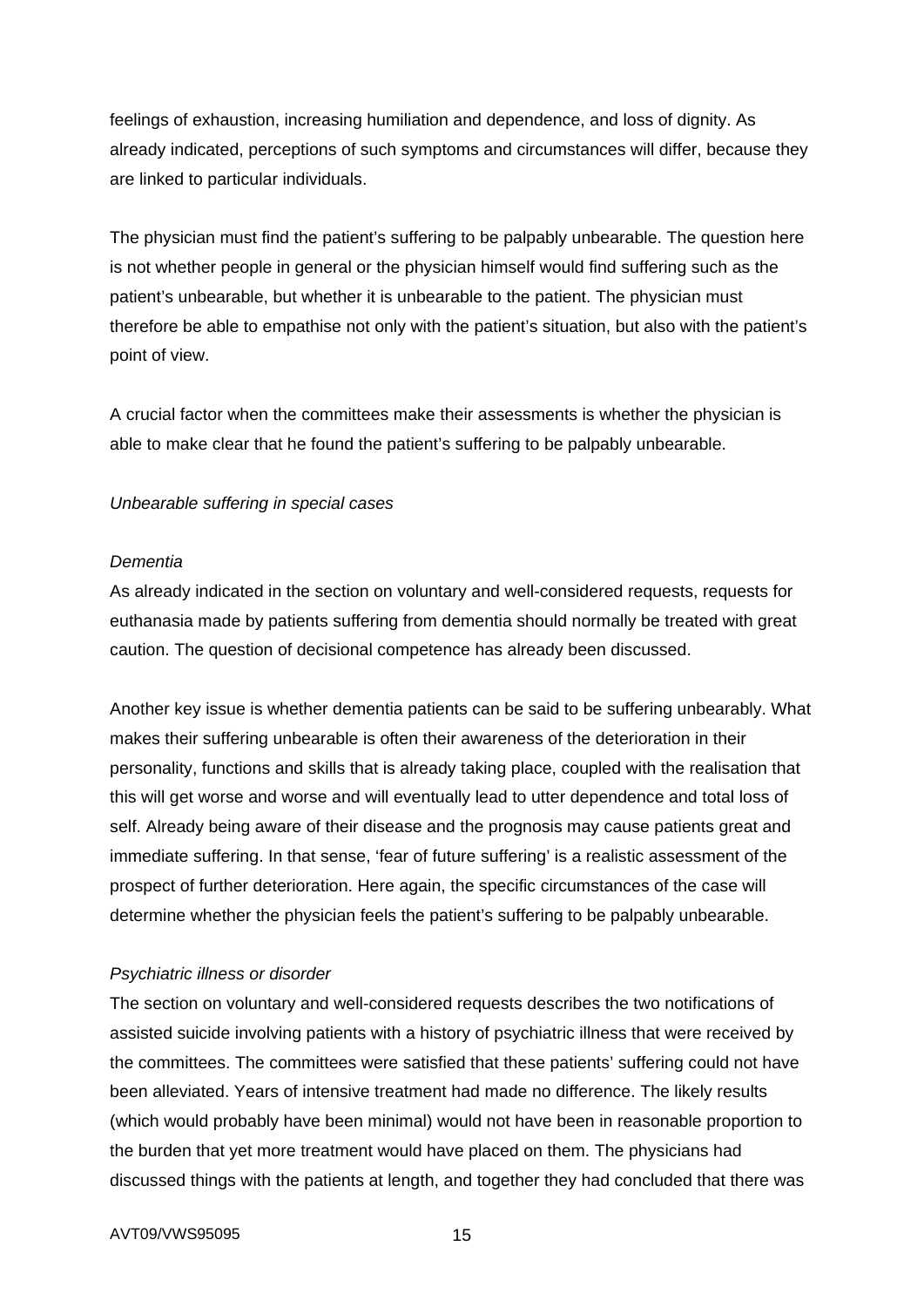feelings of exhaustion, increasing humiliation and dependence, and loss of dignity. As already indicated, perceptions of such symptoms and circumstances will differ, because they are linked to particular individuals.

The physician must find the patient's suffering to be palpably unbearable. The question here is not whether people in general or the physician himself would find suffering such as the patient's unbearable, but whether it is unbearable to the patient. The physician must therefore be able to empathise not only with the patient's situation, but also with the patient's point of view.

A crucial factor when the committees make their assessments is whether the physician is able to make clear that he found the patient's suffering to be palpably unbearable.

# *Unbearable suffering in special cases*

## *Dementia*

As already indicated in the section on voluntary and well-considered requests, requests for euthanasia made by patients suffering from dementia should normally be treated with great caution. The question of decisional competence has already been discussed.

Another key issue is whether dementia patients can be said to be suffering unbearably. What makes their suffering unbearable is often their awareness of the deterioration in their personality, functions and skills that is already taking place, coupled with the realisation that this will get worse and worse and will eventually lead to utter dependence and total loss of self. Already being aware of their disease and the prognosis may cause patients great and immediate suffering. In that sense, 'fear of future suffering' is a realistic assessment of the prospect of further deterioration. Here again, the specific circumstances of the case will determine whether the physician feels the patient's suffering to be palpably unbearable.

## *Psychiatric illness or disorder*

The section on voluntary and well-considered requests describes the two notifications of assisted suicide involving patients with a history of psychiatric illness that were received by the committees. The committees were satisfied that these patients' suffering could not have been alleviated. Years of intensive treatment had made no difference. The likely results (which would probably have been minimal) would not have been in reasonable proportion to the burden that yet more treatment would have placed on them. The physicians had discussed things with the patients at length, and together they had concluded that there was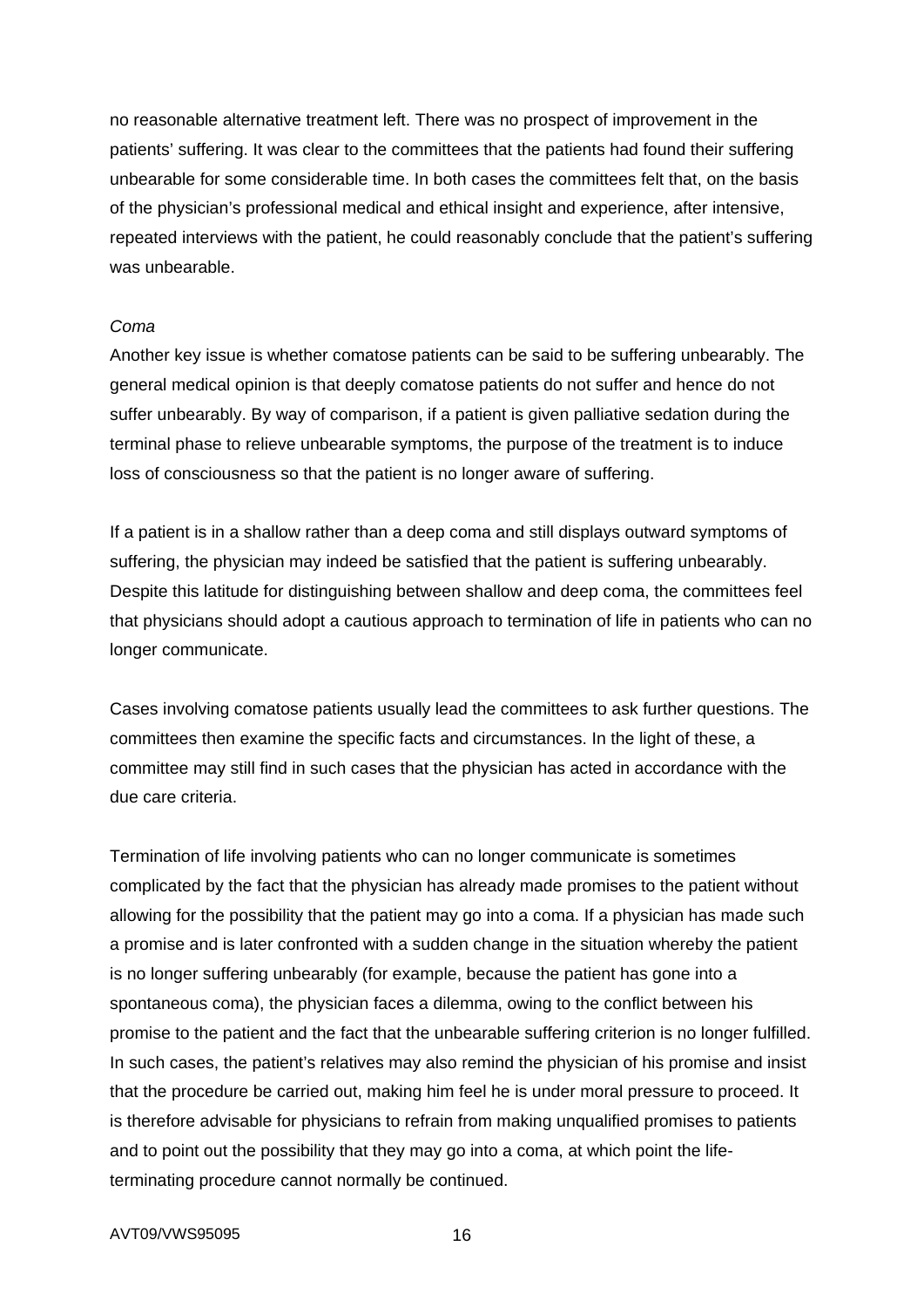no reasonable alternative treatment left. There was no prospect of improvement in the patients' suffering. It was clear to the committees that the patients had found their suffering unbearable for some considerable time. In both cases the committees felt that, on the basis of the physician's professional medical and ethical insight and experience, after intensive, repeated interviews with the patient, he could reasonably conclude that the patient's suffering was unbearable.

### *Coma*

Another key issue is whether comatose patients can be said to be suffering unbearably. The general medical opinion is that deeply comatose patients do not suffer and hence do not suffer unbearably. By way of comparison, if a patient is given palliative sedation during the terminal phase to relieve unbearable symptoms, the purpose of the treatment is to induce loss of consciousness so that the patient is no longer aware of suffering.

If a patient is in a shallow rather than a deep coma and still displays outward symptoms of suffering, the physician may indeed be satisfied that the patient is suffering unbearably. Despite this latitude for distinguishing between shallow and deep coma, the committees feel that physicians should adopt a cautious approach to termination of life in patients who can no longer communicate.

Cases involving comatose patients usually lead the committees to ask further questions. The committees then examine the specific facts and circumstances. In the light of these, a committee may still find in such cases that the physician has acted in accordance with the due care criteria.

Termination of life involving patients who can no longer communicate is sometimes complicated by the fact that the physician has already made promises to the patient without allowing for the possibility that the patient may go into a coma. If a physician has made such a promise and is later confronted with a sudden change in the situation whereby the patient is no longer suffering unbearably (for example, because the patient has gone into a spontaneous coma), the physician faces a dilemma, owing to the conflict between his promise to the patient and the fact that the unbearable suffering criterion is no longer fulfilled. In such cases, the patient's relatives may also remind the physician of his promise and insist that the procedure be carried out, making him feel he is under moral pressure to proceed. It is therefore advisable for physicians to refrain from making unqualified promises to patients and to point out the possibility that they may go into a coma, at which point the lifeterminating procedure cannot normally be continued.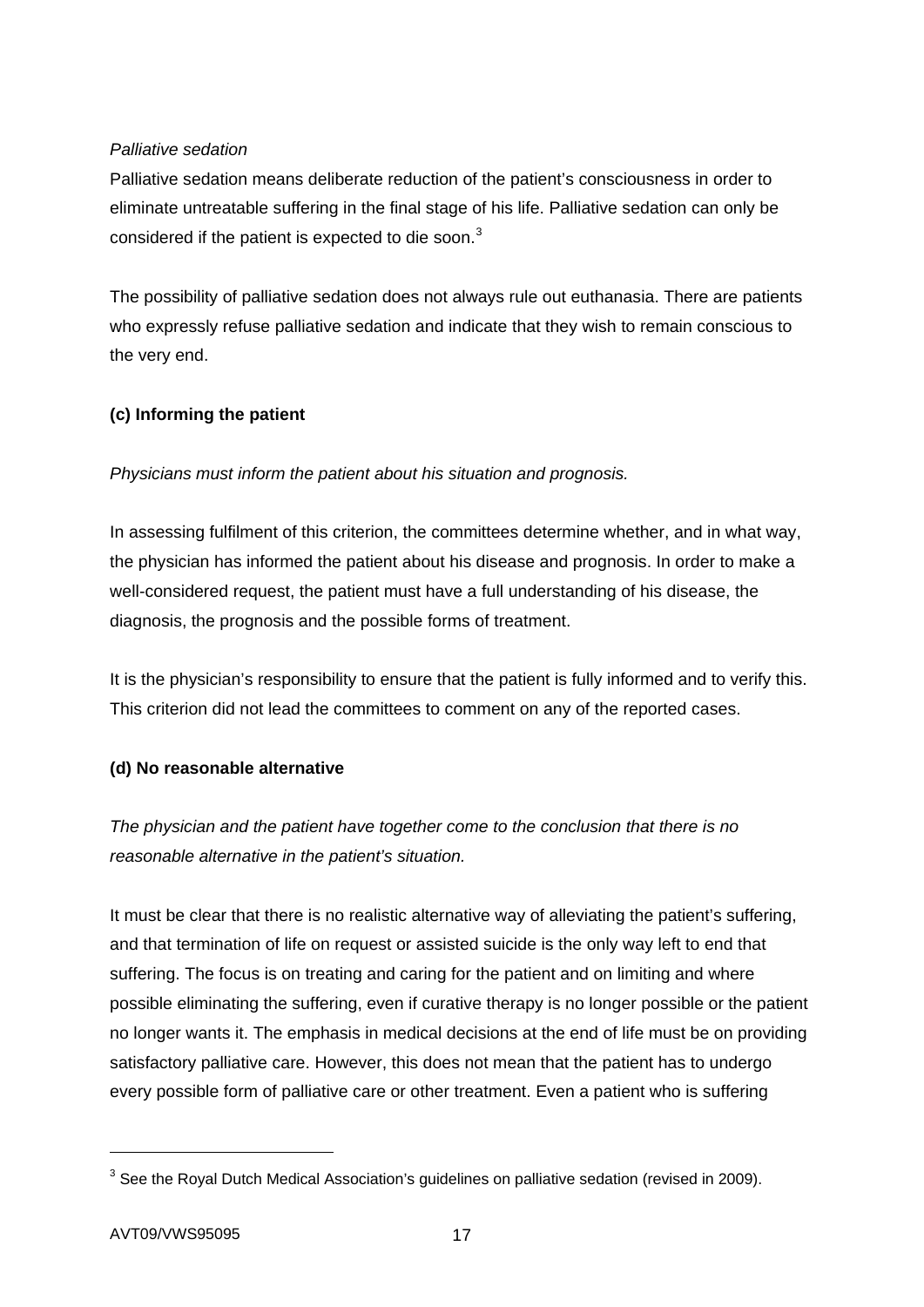# *Palliative sedation*

Palliative sedation means deliberate reduction of the patient's consciousness in order to eliminate untreatable suffering in the final stage of his life. Palliative sedation can only be considered if the patient is expected to die soon.<sup>[3](#page-16-0)</sup>

The possibility of palliative sedation does not always rule out euthanasia. There are patients who expressly refuse palliative sedation and indicate that they wish to remain conscious to the very end.

# **(c) Informing the patient**

# *Physicians must inform the patient about his situation and prognosis.*

In assessing fulfilment of this criterion, the committees determine whether, and in what way, the physician has informed the patient about his disease and prognosis. In order to make a well-considered request, the patient must have a full understanding of his disease, the diagnosis, the prognosis and the possible forms of treatment.

It is the physician's responsibility to ensure that the patient is fully informed and to verify this. This criterion did not lead the committees to comment on any of the reported cases.

# **(d) No reasonable alternative**

*The physician and the patient have together come to the conclusion that there is no reasonable alternative in the patient's situation.* 

It must be clear that there is no realistic alternative way of alleviating the patient's suffering, and that termination of life on request or assisted suicide is the only way left to end that suffering. The focus is on treating and caring for the patient and on limiting and where possible eliminating the suffering, even if curative therapy is no longer possible or the patient no longer wants it. The emphasis in medical decisions at the end of life must be on providing satisfactory palliative care. However, this does not mean that the patient has to undergo every possible form of palliative care or other treatment. Even a patient who is suffering

-

<span id="page-16-0"></span> $3$  See the Royal Dutch Medical Association's guidelines on palliative sedation (revised in 2009).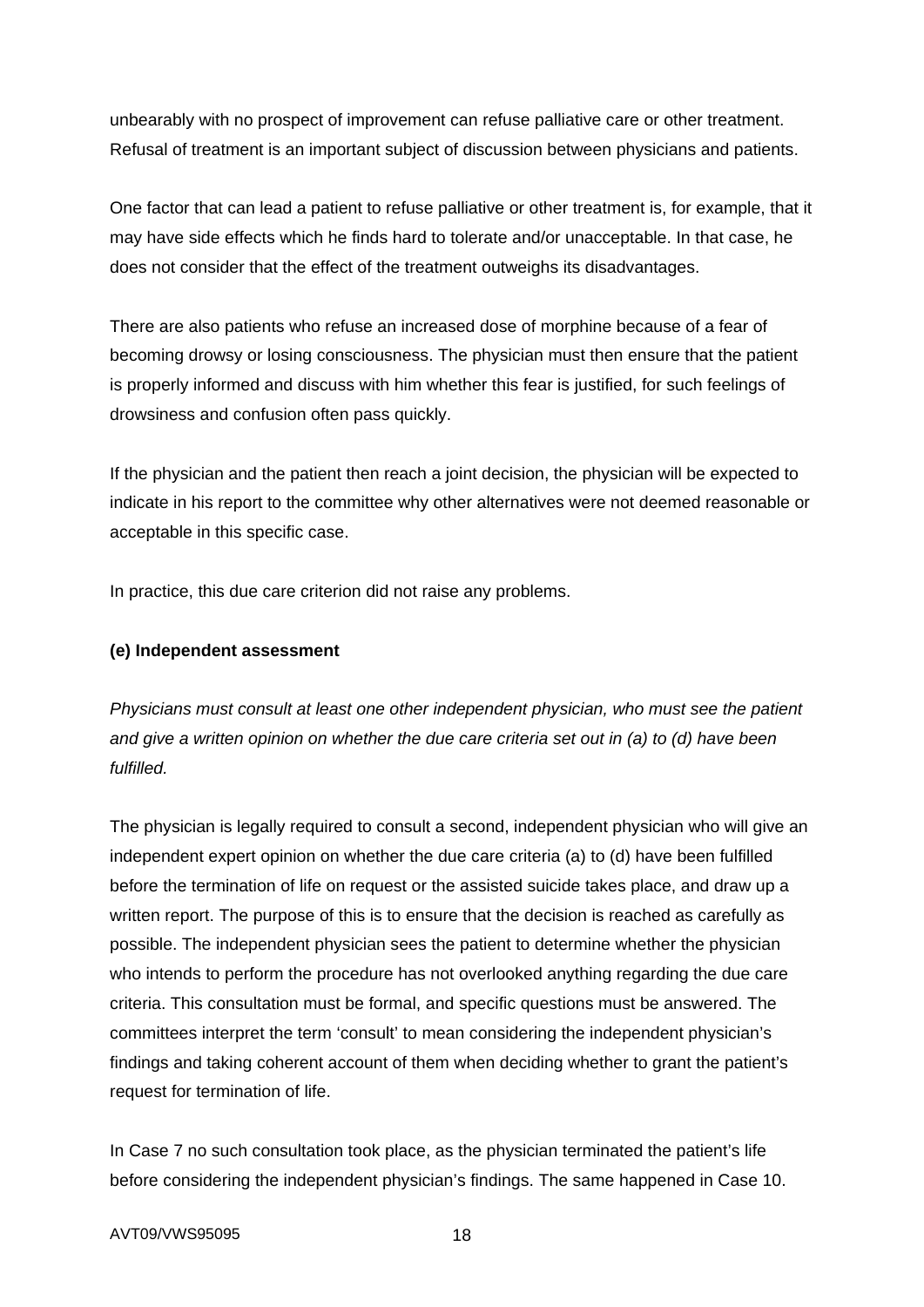unbearably with no prospect of improvement can refuse palliative care or other treatment. Refusal of treatment is an important subject of discussion between physicians and patients.

One factor that can lead a patient to refuse palliative or other treatment is, for example, that it may have side effects which he finds hard to tolerate and/or unacceptable. In that case, he does not consider that the effect of the treatment outweighs its disadvantages.

There are also patients who refuse an increased dose of morphine because of a fear of becoming drowsy or losing consciousness. The physician must then ensure that the patient is properly informed and discuss with him whether this fear is justified, for such feelings of drowsiness and confusion often pass quickly.

If the physician and the patient then reach a joint decision, the physician will be expected to indicate in his report to the committee why other alternatives were not deemed reasonable or acceptable in this specific case.

In practice, this due care criterion did not raise any problems.

# **(e) Independent assessment**

*Physicians must consult at least one other independent physician, who must see the patient and give a written opinion on whether the due care criteria set out in (a) to (d) have been fulfilled.* 

The physician is legally required to consult a second, independent physician who will give an independent expert opinion on whether the due care criteria (a) to (d) have been fulfilled before the termination of life on request or the assisted suicide takes place, and draw up a written report. The purpose of this is to ensure that the decision is reached as carefully as possible. The independent physician sees the patient to determine whether the physician who intends to perform the procedure has not overlooked anything regarding the due care criteria. This consultation must be formal, and specific questions must be answered. The committees interpret the term 'consult' to mean considering the independent physician's findings and taking coherent account of them when deciding whether to grant the patient's request for termination of life.

In Case 7 no such consultation took place, as the physician terminated the patient's life before considering the independent physician's findings. The same happened in Case 10.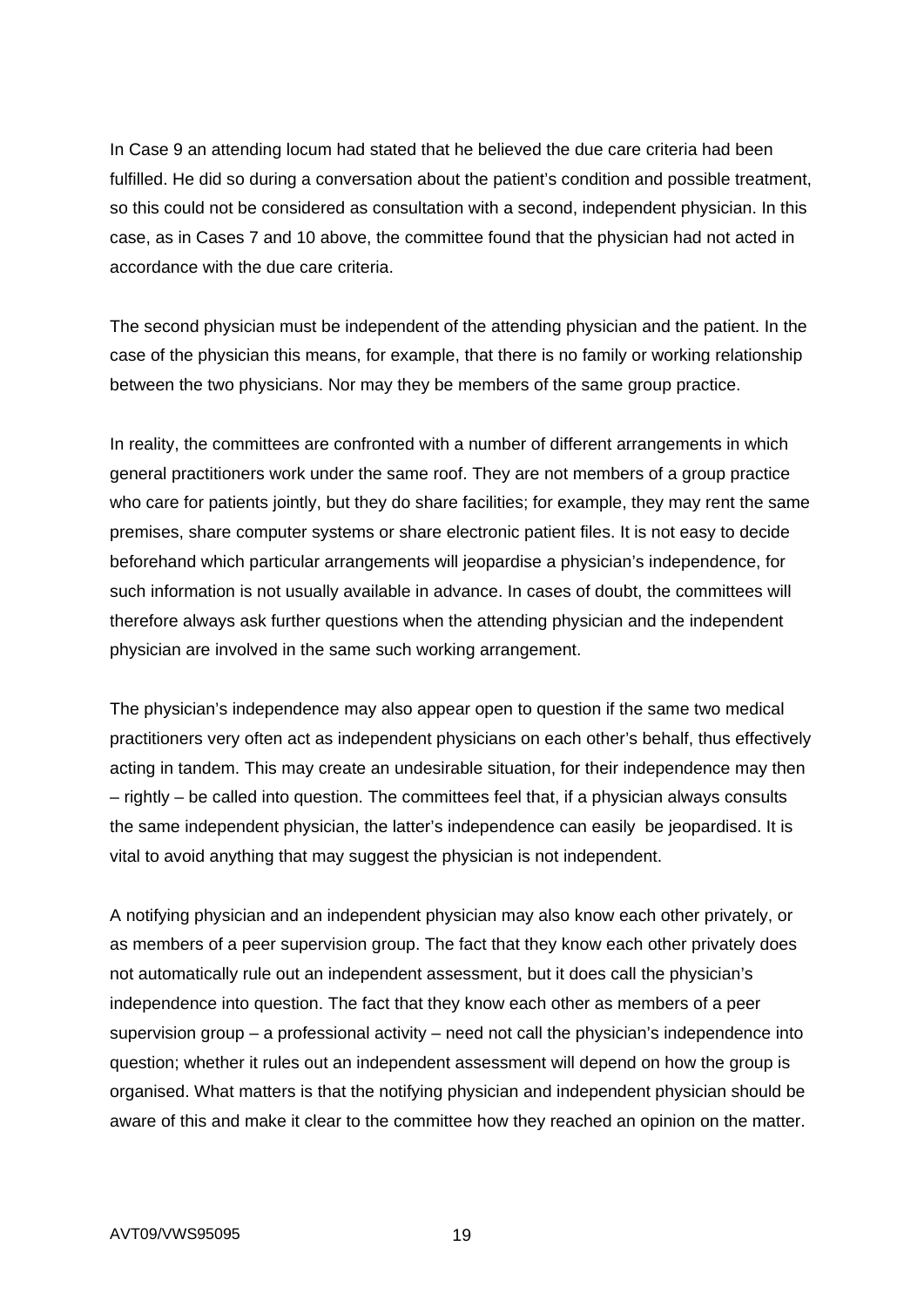In Case 9 an attending locum had stated that he believed the due care criteria had been fulfilled. He did so during a conversation about the patient's condition and possible treatment, so this could not be considered as consultation with a second, independent physician. In this case, as in Cases 7 and 10 above, the committee found that the physician had not acted in accordance with the due care criteria.

The second physician must be independent of the attending physician and the patient. In the case of the physician this means, for example, that there is no family or working relationship between the two physicians. Nor may they be members of the same group practice.

In reality, the committees are confronted with a number of different arrangements in which general practitioners work under the same roof. They are not members of a group practice who care for patients jointly, but they do share facilities; for example, they may rent the same premises, share computer systems or share electronic patient files. It is not easy to decide beforehand which particular arrangements will jeopardise a physician's independence, for such information is not usually available in advance. In cases of doubt, the committees will therefore always ask further questions when the attending physician and the independent physician are involved in the same such working arrangement.

The physician's independence may also appear open to question if the same two medical practitioners very often act as independent physicians on each other's behalf, thus effectively acting in tandem. This may create an undesirable situation, for their independence may then – rightly – be called into question. The committees feel that, if a physician always consults the same independent physician, the latter's independence can easily be jeopardised. It is vital to avoid anything that may suggest the physician is not independent.

A notifying physician and an independent physician may also know each other privately, or as members of a peer supervision group. The fact that they know each other privately does not automatically rule out an independent assessment, but it does call the physician's independence into question. The fact that they know each other as members of a peer supervision group – a professional activity – need not call the physician's independence into question; whether it rules out an independent assessment will depend on how the group is organised. What matters is that the notifying physician and independent physician should be aware of this and make it clear to the committee how they reached an opinion on the matter.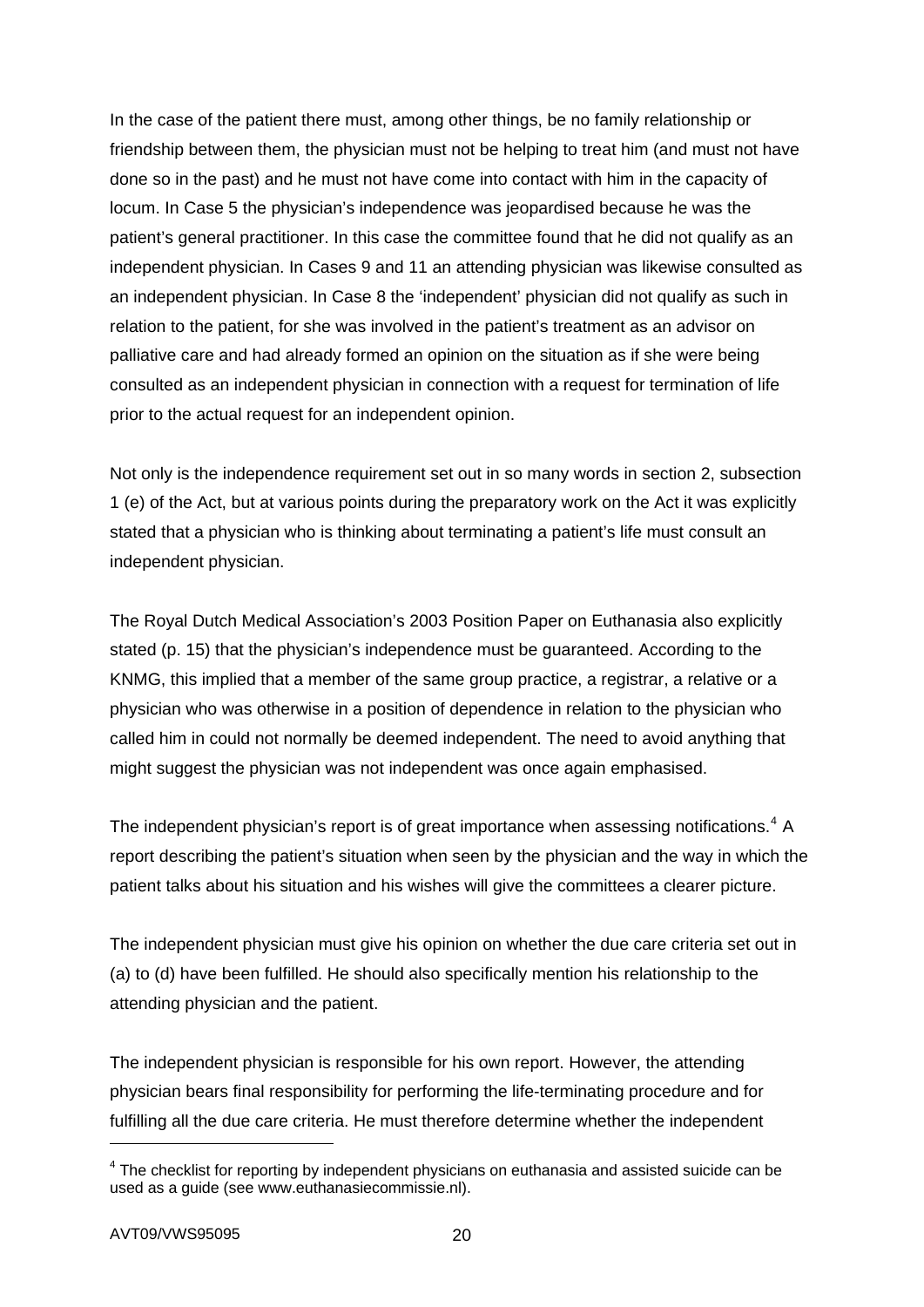In the case of the patient there must, among other things, be no family relationship or friendship between them, the physician must not be helping to treat him (and must not have done so in the past) and he must not have come into contact with him in the capacity of locum. In Case 5 the physician's independence was jeopardised because he was the patient's general practitioner. In this case the committee found that he did not qualify as an independent physician. In Cases 9 and 11 an attending physician was likewise consulted as an independent physician. In Case 8 the 'independent' physician did not qualify as such in relation to the patient, for she was involved in the patient's treatment as an advisor on palliative care and had already formed an opinion on the situation as if she were being consulted as an independent physician in connection with a request for termination of life prior to the actual request for an independent opinion.

Not only is the independence requirement set out in so many words in section 2, subsection 1 (e) of the Act, but at various points during the preparatory work on the Act it was explicitly stated that a physician who is thinking about terminating a patient's life must consult an independent physician.

The Royal Dutch Medical Association's 2003 Position Paper on Euthanasia also explicitly stated (p. 15) that the physician's independence must be guaranteed. According to the KNMG, this implied that a member of the same group practice, a registrar, a relative or a physician who was otherwise in a position of dependence in relation to the physician who called him in could not normally be deemed independent. The need to avoid anything that might suggest the physician was not independent was once again emphasised.

The independent physician's report is of great importance when assessing notifications.<sup>[4](#page-19-0)</sup> A report describing the patient's situation when seen by the physician and the way in which the patient talks about his situation and his wishes will give the committees a clearer picture.

The independent physician must give his opinion on whether the due care criteria set out in (a) to (d) have been fulfilled. He should also specifically mention his relationship to the attending physician and the patient.

The independent physician is responsible for his own report. However, the attending physician bears final responsibility for performing the life-terminating procedure and for fulfilling all the due care criteria. He must therefore determine whether the independent

1

<span id="page-19-0"></span> $4$  The checklist for reporting by independent physicians on euthanasia and assisted suicide can be used as a guide (see www.euthanasiecommissie.nl).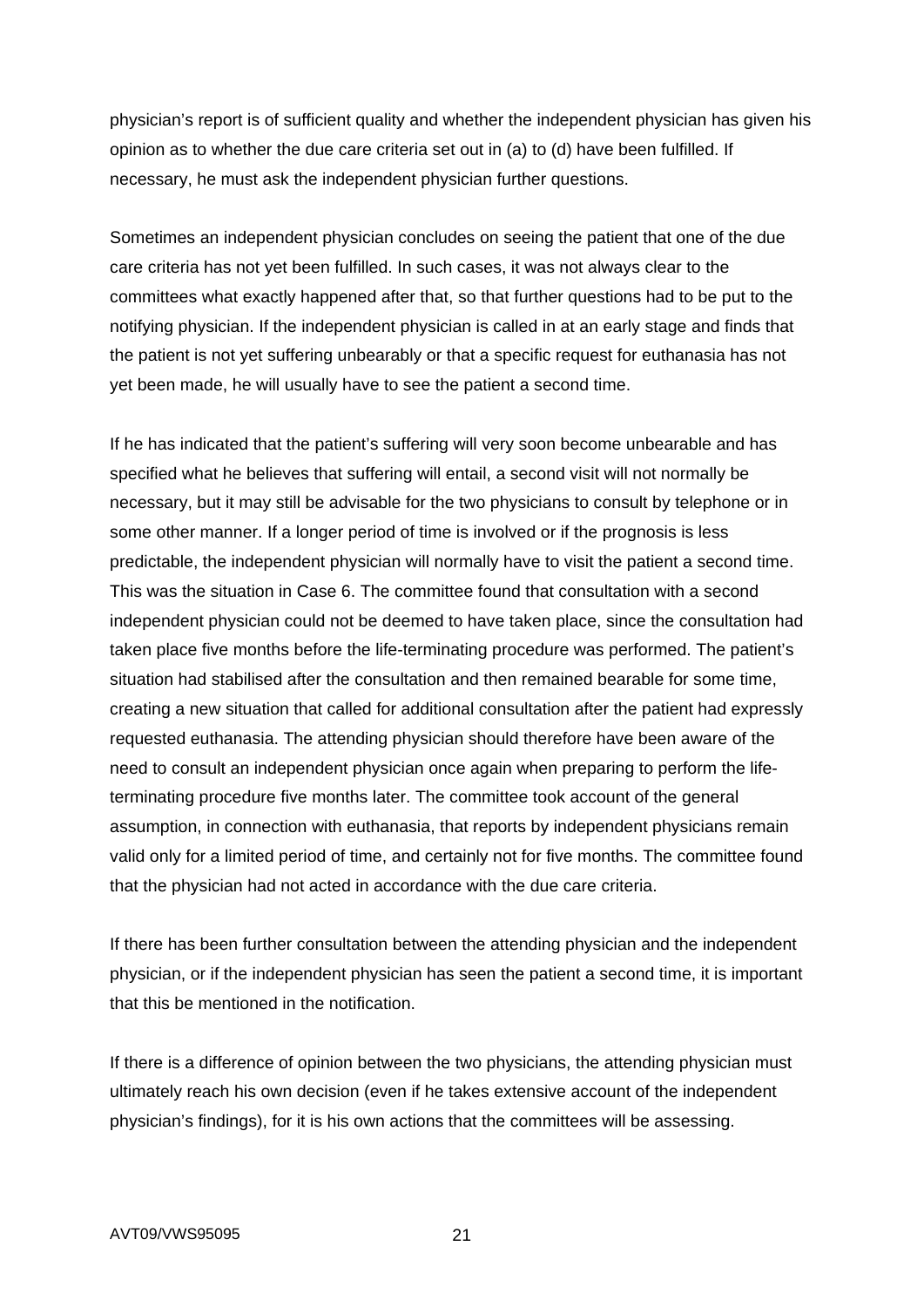physician's report is of sufficient quality and whether the independent physician has given his opinion as to whether the due care criteria set out in (a) to (d) have been fulfilled. If necessary, he must ask the independent physician further questions.

Sometimes an independent physician concludes on seeing the patient that one of the due care criteria has not yet been fulfilled. In such cases, it was not always clear to the committees what exactly happened after that, so that further questions had to be put to the notifying physician. If the independent physician is called in at an early stage and finds that the patient is not yet suffering unbearably or that a specific request for euthanasia has not yet been made, he will usually have to see the patient a second time.

If he has indicated that the patient's suffering will very soon become unbearable and has specified what he believes that suffering will entail, a second visit will not normally be necessary, but it may still be advisable for the two physicians to consult by telephone or in some other manner. If a longer period of time is involved or if the prognosis is less predictable, the independent physician will normally have to visit the patient a second time. This was the situation in Case 6. The committee found that consultation with a second independent physician could not be deemed to have taken place, since the consultation had taken place five months before the life-terminating procedure was performed. The patient's situation had stabilised after the consultation and then remained bearable for some time, creating a new situation that called for additional consultation after the patient had expressly requested euthanasia. The attending physician should therefore have been aware of the need to consult an independent physician once again when preparing to perform the lifeterminating procedure five months later. The committee took account of the general assumption, in connection with euthanasia, that reports by independent physicians remain valid only for a limited period of time, and certainly not for five months. The committee found that the physician had not acted in accordance with the due care criteria.

If there has been further consultation between the attending physician and the independent physician, or if the independent physician has seen the patient a second time, it is important that this be mentioned in the notification.

If there is a difference of opinion between the two physicians, the attending physician must ultimately reach his own decision (even if he takes extensive account of the independent physician's findings), for it is his own actions that the committees will be assessing.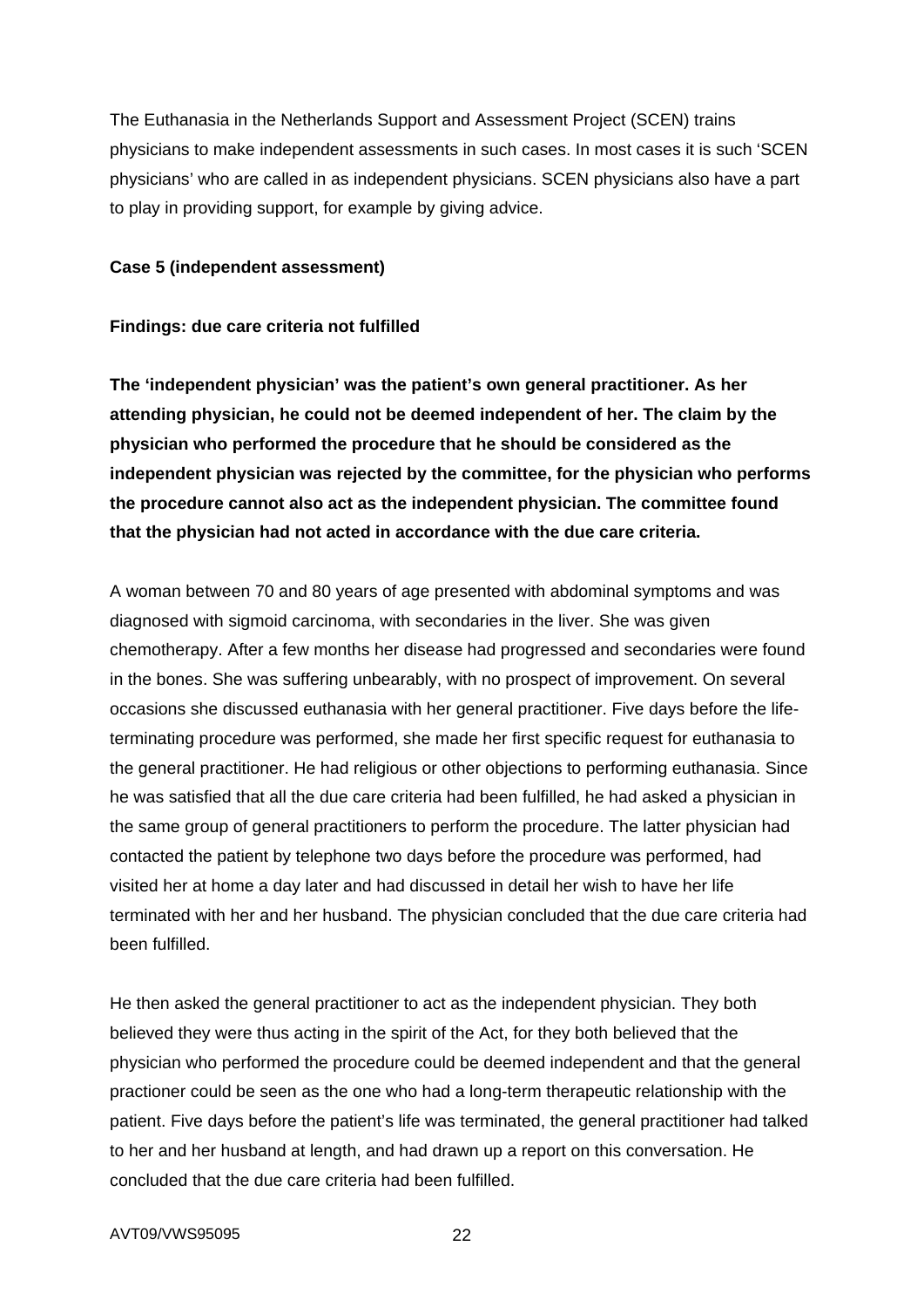The Euthanasia in the Netherlands Support and Assessment Project (SCEN) trains physicians to make independent assessments in such cases. In most cases it is such 'SCEN physicians' who are called in as independent physicians. SCEN physicians also have a part to play in providing support, for example by giving advice.

### **Case 5 (independent assessment)**

### **Findings: due care criteria not fulfilled**

**The 'independent physician' was the patient's own general practitioner. As her attending physician, he could not be deemed independent of her. The claim by the physician who performed the procedure that he should be considered as the independent physician was rejected by the committee, for the physician who performs the procedure cannot also act as the independent physician. The committee found that the physician had not acted in accordance with the due care criteria.** 

A woman between 70 and 80 years of age presented with abdominal symptoms and was diagnosed with sigmoid carcinoma, with secondaries in the liver. She was given chemotherapy. After a few months her disease had progressed and secondaries were found in the bones. She was suffering unbearably, with no prospect of improvement. On several occasions she discussed euthanasia with her general practitioner. Five days before the lifeterminating procedure was performed, she made her first specific request for euthanasia to the general practitioner. He had religious or other objections to performing euthanasia. Since he was satisfied that all the due care criteria had been fulfilled, he had asked a physician in the same group of general practitioners to perform the procedure. The latter physician had contacted the patient by telephone two days before the procedure was performed, had visited her at home a day later and had discussed in detail her wish to have her life terminated with her and her husband. The physician concluded that the due care criteria had been fulfilled.

He then asked the general practitioner to act as the independent physician. They both believed they were thus acting in the spirit of the Act, for they both believed that the physician who performed the procedure could be deemed independent and that the general practioner could be seen as the one who had a long-term therapeutic relationship with the patient. Five days before the patient's life was terminated, the general practitioner had talked to her and her husband at length, and had drawn up a report on this conversation. He concluded that the due care criteria had been fulfilled.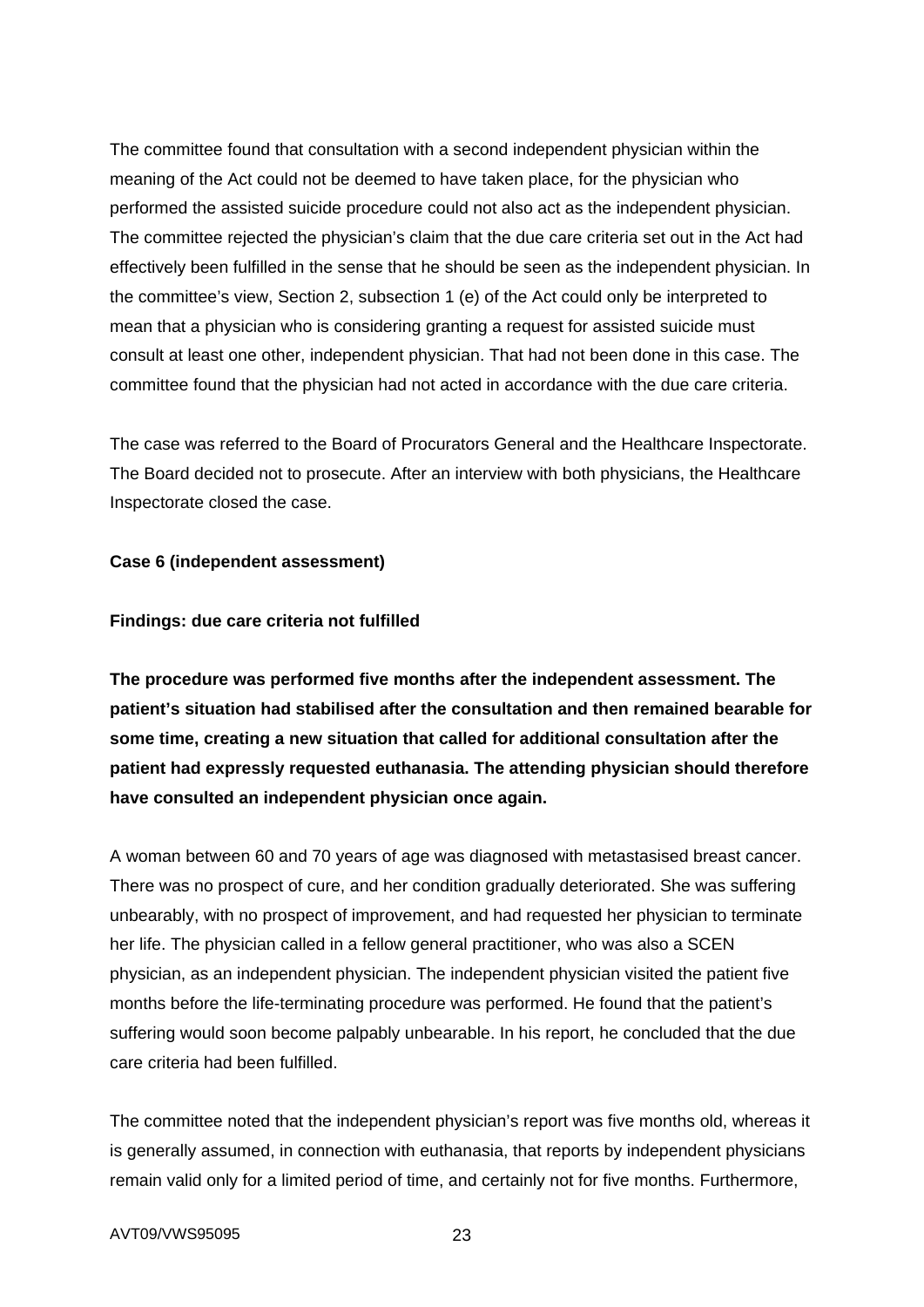The committee found that consultation with a second independent physician within the meaning of the Act could not be deemed to have taken place, for the physician who performed the assisted suicide procedure could not also act as the independent physician. The committee rejected the physician's claim that the due care criteria set out in the Act had effectively been fulfilled in the sense that he should be seen as the independent physician. In the committee's view, Section 2, subsection 1 (e) of the Act could only be interpreted to mean that a physician who is considering granting a request for assisted suicide must consult at least one other, independent physician. That had not been done in this case. The committee found that the physician had not acted in accordance with the due care criteria.

The case was referred to the Board of Procurators General and the Healthcare Inspectorate. The Board decided not to prosecute. After an interview with both physicians, the Healthcare Inspectorate closed the case.

## **Case 6 (independent assessment)**

### **Findings: due care criteria not fulfilled**

**The procedure was performed five months after the independent assessment. The patient's situation had stabilised after the consultation and then remained bearable for some time, creating a new situation that called for additional consultation after the patient had expressly requested euthanasia. The attending physician should therefore have consulted an independent physician once again.** 

A woman between 60 and 70 years of age was diagnosed with metastasised breast cancer. There was no prospect of cure, and her condition gradually deteriorated. She was suffering unbearably, with no prospect of improvement, and had requested her physician to terminate her life. The physician called in a fellow general practitioner, who was also a SCEN physician, as an independent physician. The independent physician visited the patient five months before the life-terminating procedure was performed. He found that the patient's suffering would soon become palpably unbearable. In his report, he concluded that the due care criteria had been fulfilled.

The committee noted that the independent physician's report was five months old, whereas it is generally assumed, in connection with euthanasia, that reports by independent physicians remain valid only for a limited period of time, and certainly not for five months. Furthermore,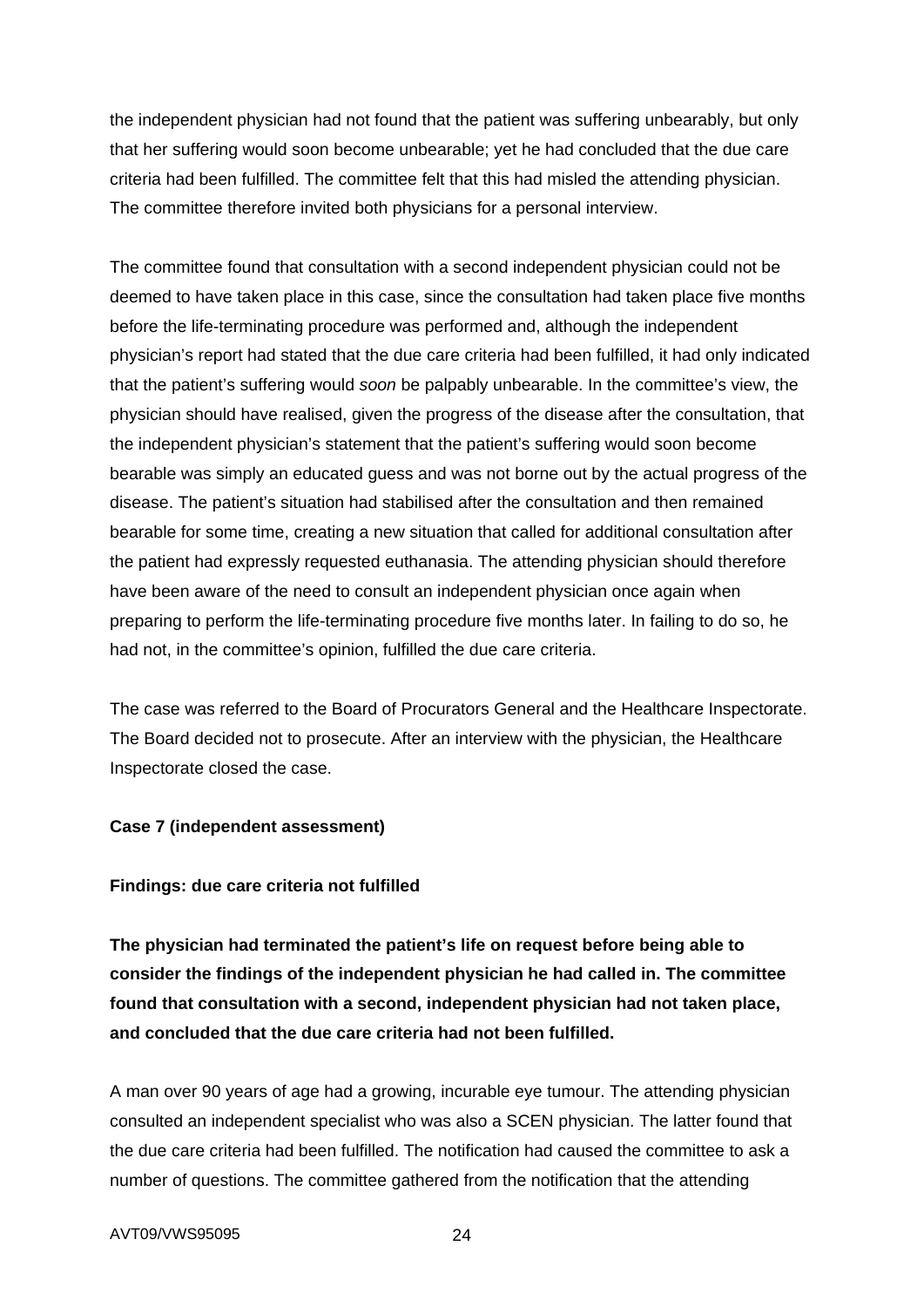the independent physician had not found that the patient was suffering unbearably, but only that her suffering would soon become unbearable; yet he had concluded that the due care criteria had been fulfilled. The committee felt that this had misled the attending physician. The committee therefore invited both physicians for a personal interview.

The committee found that consultation with a second independent physician could not be deemed to have taken place in this case, since the consultation had taken place five months before the life-terminating procedure was performed and, although the independent physician's report had stated that the due care criteria had been fulfilled, it had only indicated that the patient's suffering would *soon* be palpably unbearable. In the committee's view, the physician should have realised, given the progress of the disease after the consultation, that the independent physician's statement that the patient's suffering would soon become bearable was simply an educated guess and was not borne out by the actual progress of the disease. The patient's situation had stabilised after the consultation and then remained bearable for some time, creating a new situation that called for additional consultation after the patient had expressly requested euthanasia. The attending physician should therefore have been aware of the need to consult an independent physician once again when preparing to perform the life-terminating procedure five months later. In failing to do so, he had not, in the committee's opinion, fulfilled the due care criteria.

The case was referred to the Board of Procurators General and the Healthcare Inspectorate. The Board decided not to prosecute. After an interview with the physician, the Healthcare Inspectorate closed the case.

## **Case 7 (independent assessment)**

# **Findings: due care criteria not fulfilled**

**The physician had terminated the patient's life on request before being able to consider the findings of the independent physician he had called in. The committee found that consultation with a second, independent physician had not taken place, and concluded that the due care criteria had not been fulfilled.** 

A man over 90 years of age had a growing, incurable eye tumour. The attending physician consulted an independent specialist who was also a SCEN physician. The latter found that the due care criteria had been fulfilled. The notification had caused the committee to ask a number of questions. The committee gathered from the notification that the attending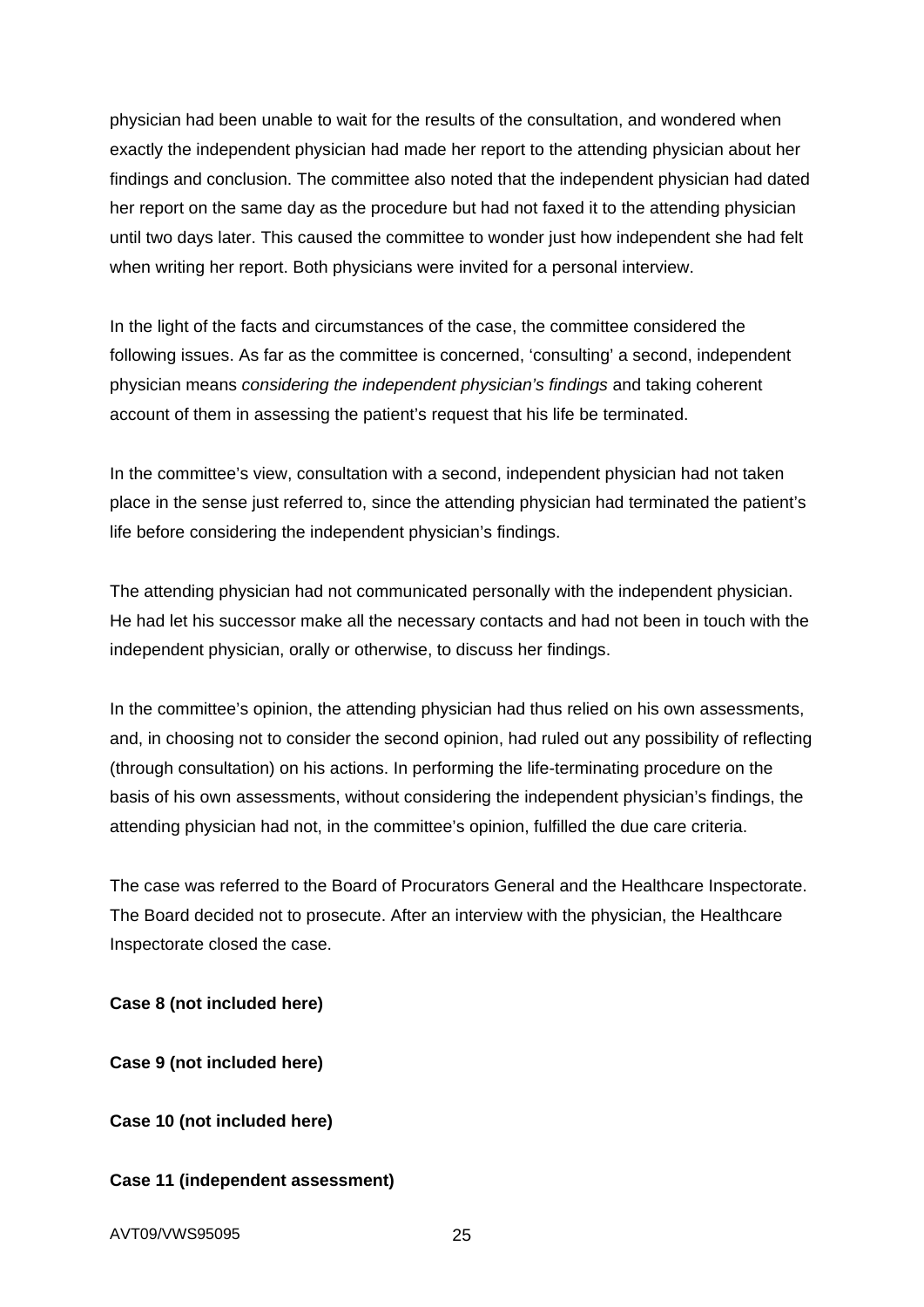physician had been unable to wait for the results of the consultation, and wondered when exactly the independent physician had made her report to the attending physician about her findings and conclusion. The committee also noted that the independent physician had dated her report on the same day as the procedure but had not faxed it to the attending physician until two days later. This caused the committee to wonder just how independent she had felt when writing her report. Both physicians were invited for a personal interview.

In the light of the facts and circumstances of the case, the committee considered the following issues. As far as the committee is concerned, 'consulting' a second, independent physician means *considering the independent physician's findings* and taking coherent account of them in assessing the patient's request that his life be terminated.

In the committee's view, consultation with a second, independent physician had not taken place in the sense just referred to, since the attending physician had terminated the patient's life before considering the independent physician's findings.

The attending physician had not communicated personally with the independent physician. He had let his successor make all the necessary contacts and had not been in touch with the independent physician, orally or otherwise, to discuss her findings.

In the committee's opinion, the attending physician had thus relied on his own assessments, and, in choosing not to consider the second opinion, had ruled out any possibility of reflecting (through consultation) on his actions. In performing the life-terminating procedure on the basis of his own assessments, without considering the independent physician's findings, the attending physician had not, in the committee's opinion, fulfilled the due care criteria.

The case was referred to the Board of Procurators General and the Healthcare Inspectorate. The Board decided not to prosecute. After an interview with the physician, the Healthcare Inspectorate closed the case.

**Case 8 (not included here)** 

**Case 9 (not included here)** 

**Case 10 (not included here)** 

### **Case 11 (independent assessment)**

AVT09/VWS95095 25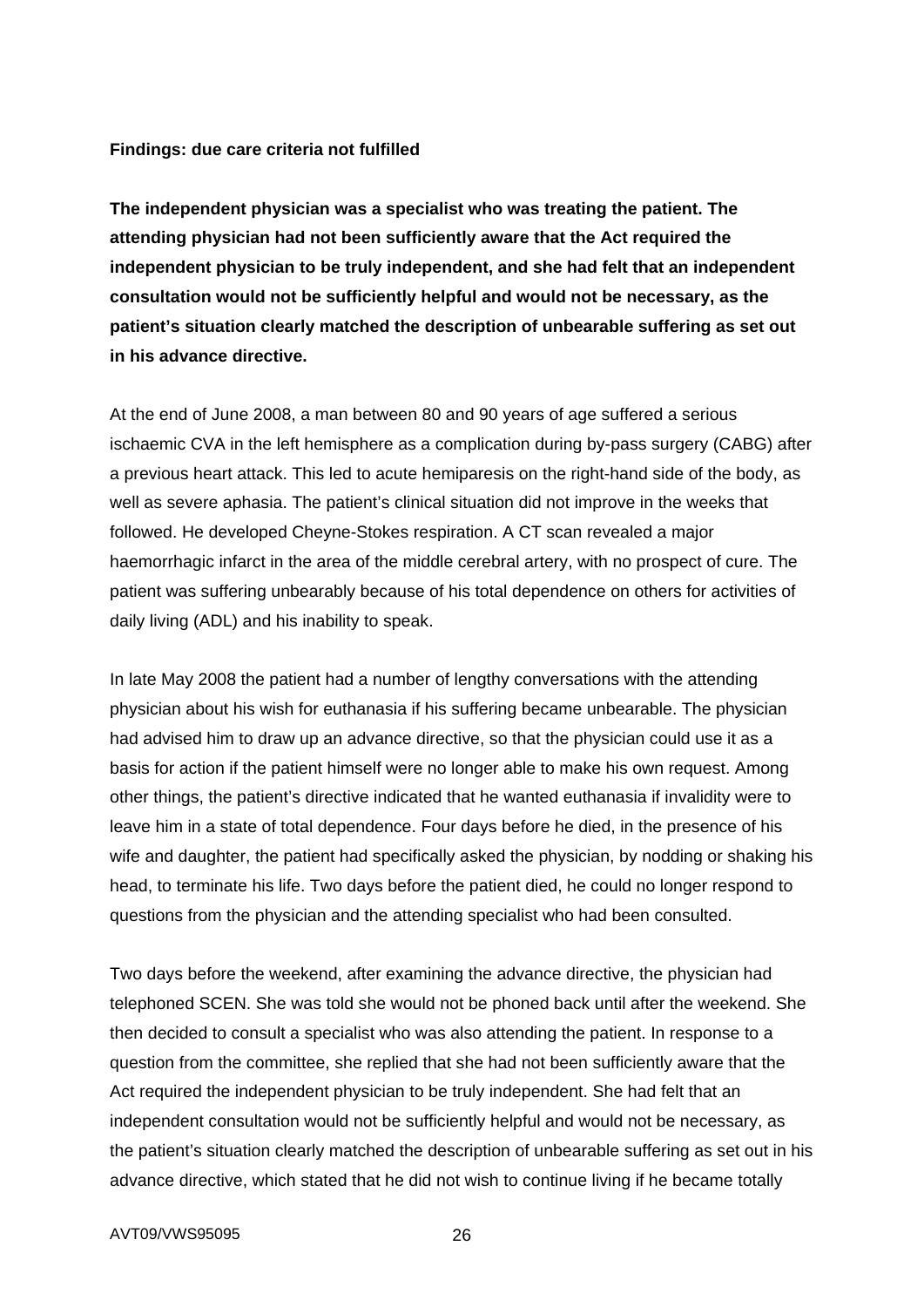#### **Findings: due care criteria not fulfilled**

**The independent physician was a specialist who was treating the patient. The attending physician had not been sufficiently aware that the Act required the independent physician to be truly independent, and she had felt that an independent consultation would not be sufficiently helpful and would not be necessary, as the patient's situation clearly matched the description of unbearable suffering as set out in his advance directive.** 

At the end of June 2008, a man between 80 and 90 years of age suffered a serious ischaemic CVA in the left hemisphere as a complication during by-pass surgery (CABG) after a previous heart attack. This led to acute hemiparesis on the right-hand side of the body, as well as severe aphasia. The patient's clinical situation did not improve in the weeks that followed. He developed Cheyne-Stokes respiration. A CT scan revealed a major haemorrhagic infarct in the area of the middle cerebral artery, with no prospect of cure. The patient was suffering unbearably because of his total dependence on others for activities of daily living (ADL) and his inability to speak.

In late May 2008 the patient had a number of lengthy conversations with the attending physician about his wish for euthanasia if his suffering became unbearable. The physician had advised him to draw up an advance directive, so that the physician could use it as a basis for action if the patient himself were no longer able to make his own request. Among other things, the patient's directive indicated that he wanted euthanasia if invalidity were to leave him in a state of total dependence. Four days before he died, in the presence of his wife and daughter, the patient had specifically asked the physician, by nodding or shaking his head, to terminate his life. Two days before the patient died, he could no longer respond to questions from the physician and the attending specialist who had been consulted.

Two days before the weekend, after examining the advance directive, the physician had telephoned SCEN. She was told she would not be phoned back until after the weekend. She then decided to consult a specialist who was also attending the patient. In response to a question from the committee, she replied that she had not been sufficiently aware that the Act required the independent physician to be truly independent. She had felt that an independent consultation would not be sufficiently helpful and would not be necessary, as the patient's situation clearly matched the description of unbearable suffering as set out in his advance directive, which stated that he did not wish to continue living if he became totally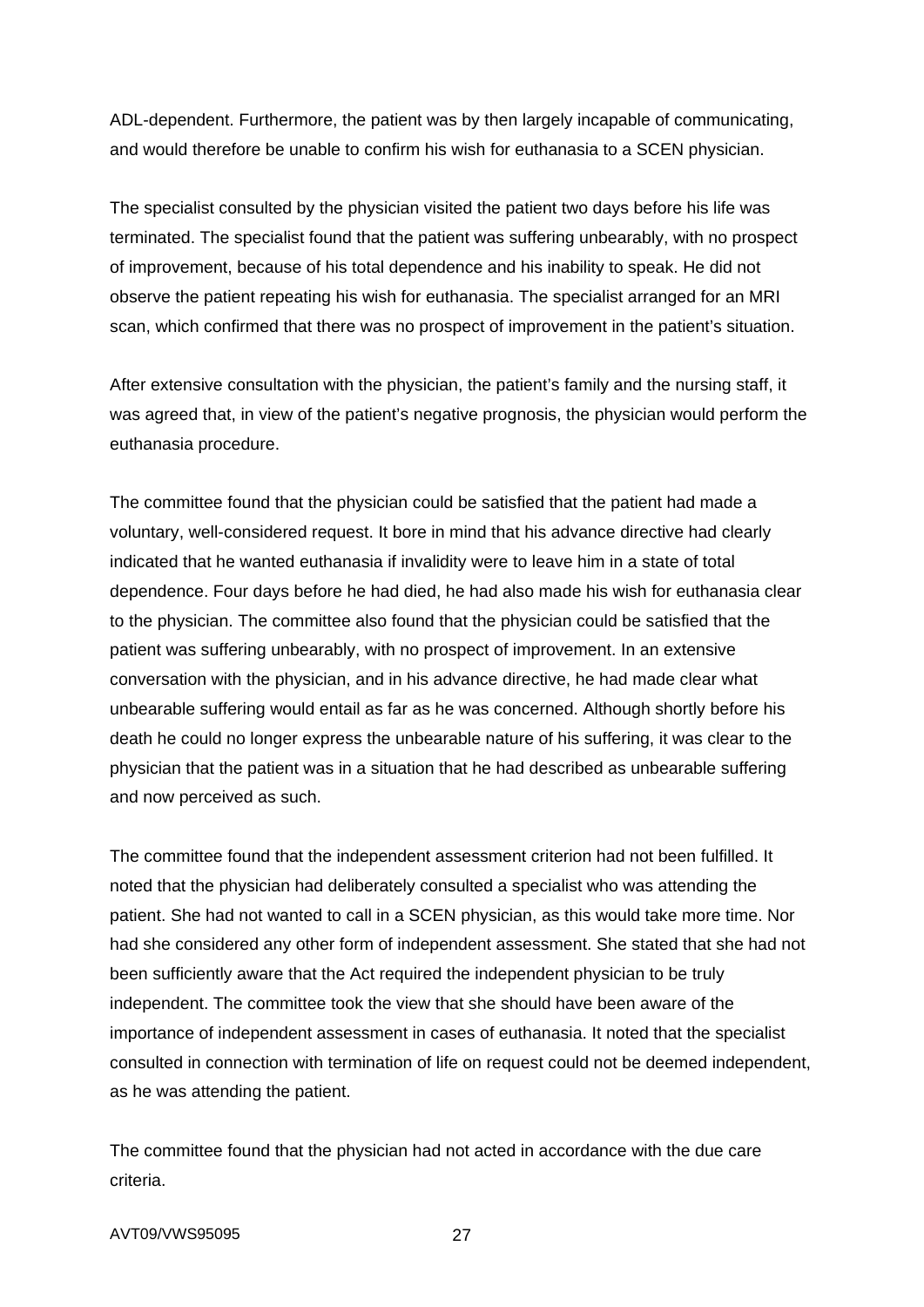ADL-dependent. Furthermore, the patient was by then largely incapable of communicating, and would therefore be unable to confirm his wish for euthanasia to a SCEN physician.

The specialist consulted by the physician visited the patient two days before his life was terminated. The specialist found that the patient was suffering unbearably, with no prospect of improvement, because of his total dependence and his inability to speak. He did not observe the patient repeating his wish for euthanasia. The specialist arranged for an MRI scan, which confirmed that there was no prospect of improvement in the patient's situation.

After extensive consultation with the physician, the patient's family and the nursing staff, it was agreed that, in view of the patient's negative prognosis, the physician would perform the euthanasia procedure.

The committee found that the physician could be satisfied that the patient had made a voluntary, well-considered request. It bore in mind that his advance directive had clearly indicated that he wanted euthanasia if invalidity were to leave him in a state of total dependence. Four days before he had died, he had also made his wish for euthanasia clear to the physician. The committee also found that the physician could be satisfied that the patient was suffering unbearably, with no prospect of improvement. In an extensive conversation with the physician, and in his advance directive, he had made clear what unbearable suffering would entail as far as he was concerned. Although shortly before his death he could no longer express the unbearable nature of his suffering, it was clear to the physician that the patient was in a situation that he had described as unbearable suffering and now perceived as such.

The committee found that the independent assessment criterion had not been fulfilled. It noted that the physician had deliberately consulted a specialist who was attending the patient. She had not wanted to call in a SCEN physician, as this would take more time. Nor had she considered any other form of independent assessment. She stated that she had not been sufficiently aware that the Act required the independent physician to be truly independent. The committee took the view that she should have been aware of the importance of independent assessment in cases of euthanasia. It noted that the specialist consulted in connection with termination of life on request could not be deemed independent, as he was attending the patient.

The committee found that the physician had not acted in accordance with the due care criteria.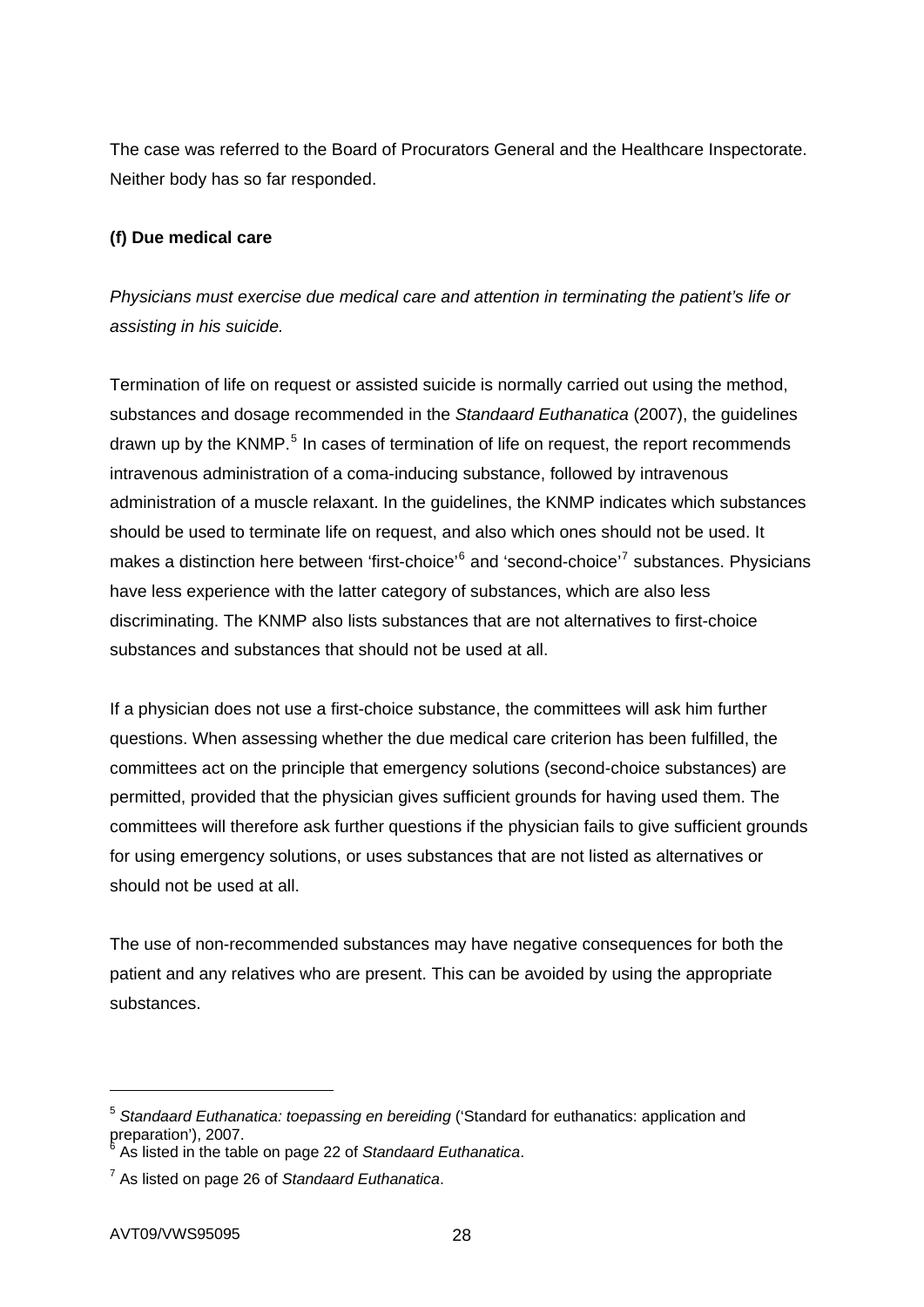The case was referred to the Board of Procurators General and the Healthcare Inspectorate. Neither body has so far responded.

# **(f) Due medical care**

*Physicians must exercise due medical care and attention in terminating the patient's life or assisting in his suicide.* 

Termination of life on request or assisted suicide is normally carried out using the method, substances and dosage recommended in the *Standaard Euthanatica* (2007), the guidelines drawn up by the KNMP.<sup>[5](#page-27-0)</sup> In cases of termination of life on request, the report recommends intravenous administration of a coma-inducing substance, followed by intravenous administration of a muscle relaxant. In the guidelines, the KNMP indicates which substances should be used to terminate life on request, and also which ones should not be used. It makes a distinction here between 'first-choice'<sup>[6](#page-27-1)</sup> and 'second-choice'<sup>[7](#page-27-2)</sup> substances. Physicians have less experience with the latter category of substances, which are also less discriminating. The KNMP also lists substances that are not alternatives to first-choice substances and substances that should not be used at all.

If a physician does not use a first-choice substance, the committees will ask him further questions. When assessing whether the due medical care criterion has been fulfilled, the committees act on the principle that emergency solutions (second-choice substances) are permitted, provided that the physician gives sufficient grounds for having used them. The committees will therefore ask further questions if the physician fails to give sufficient grounds for using emergency solutions, or uses substances that are not listed as alternatives or should not be used at all.

The use of non-recommended substances may have negative consequences for both the patient and any relatives who are present. This can be avoided by using the appropriate substances.

1

<span id="page-27-0"></span><sup>5</sup> *Standaard Euthanatica: toepassing en bereiding* ('Standard for euthanatics: application and preparation'), 2007.<br><sup>6</sup> As listed in the table

<span id="page-27-1"></span>As listed in the table on page 22 of *Standaard Euthanatica*.

<span id="page-27-2"></span><sup>7</sup> As listed on page 26 of *Standaard Euthanatica*.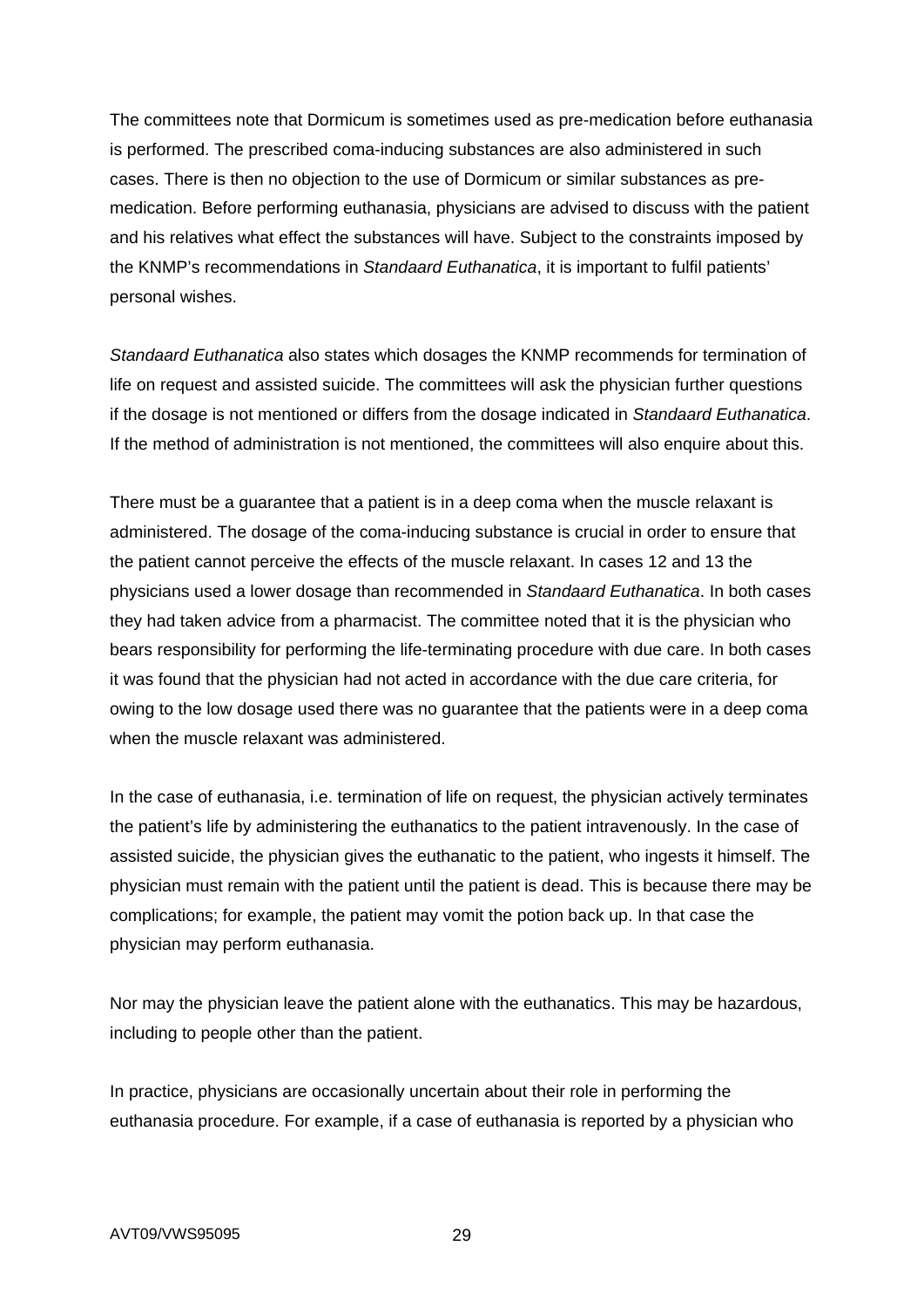The committees note that Dormicum is sometimes used as pre-medication before euthanasia is performed. The prescribed coma-inducing substances are also administered in such cases. There is then no objection to the use of Dormicum or similar substances as premedication. Before performing euthanasia, physicians are advised to discuss with the patient and his relatives what effect the substances will have. Subject to the constraints imposed by the KNMP's recommendations in *Standaard Euthanatica*, it is important to fulfil patients' personal wishes.

*Standaard Euthanatica* also states which dosages the KNMP recommends for termination of life on request and assisted suicide. The committees will ask the physician further questions if the dosage is not mentioned or differs from the dosage indicated in *Standaard Euthanatica*. If the method of administration is not mentioned, the committees will also enquire about this.

There must be a guarantee that a patient is in a deep coma when the muscle relaxant is administered. The dosage of the coma-inducing substance is crucial in order to ensure that the patient cannot perceive the effects of the muscle relaxant. In cases 12 and 13 the physicians used a lower dosage than recommended in *Standaard Euthanatica*. In both cases they had taken advice from a pharmacist. The committee noted that it is the physician who bears responsibility for performing the life-terminating procedure with due care. In both cases it was found that the physician had not acted in accordance with the due care criteria, for owing to the low dosage used there was no guarantee that the patients were in a deep coma when the muscle relaxant was administered.

In the case of euthanasia, i.e. termination of life on request, the physician actively terminates the patient's life by administering the euthanatics to the patient intravenously. In the case of assisted suicide, the physician gives the euthanatic to the patient, who ingests it himself. The physician must remain with the patient until the patient is dead. This is because there may be complications; for example, the patient may vomit the potion back up. In that case the physician may perform euthanasia.

Nor may the physician leave the patient alone with the euthanatics. This may be hazardous, including to people other than the patient.

In practice, physicians are occasionally uncertain about their role in performing the euthanasia procedure. For example, if a case of euthanasia is reported by a physician who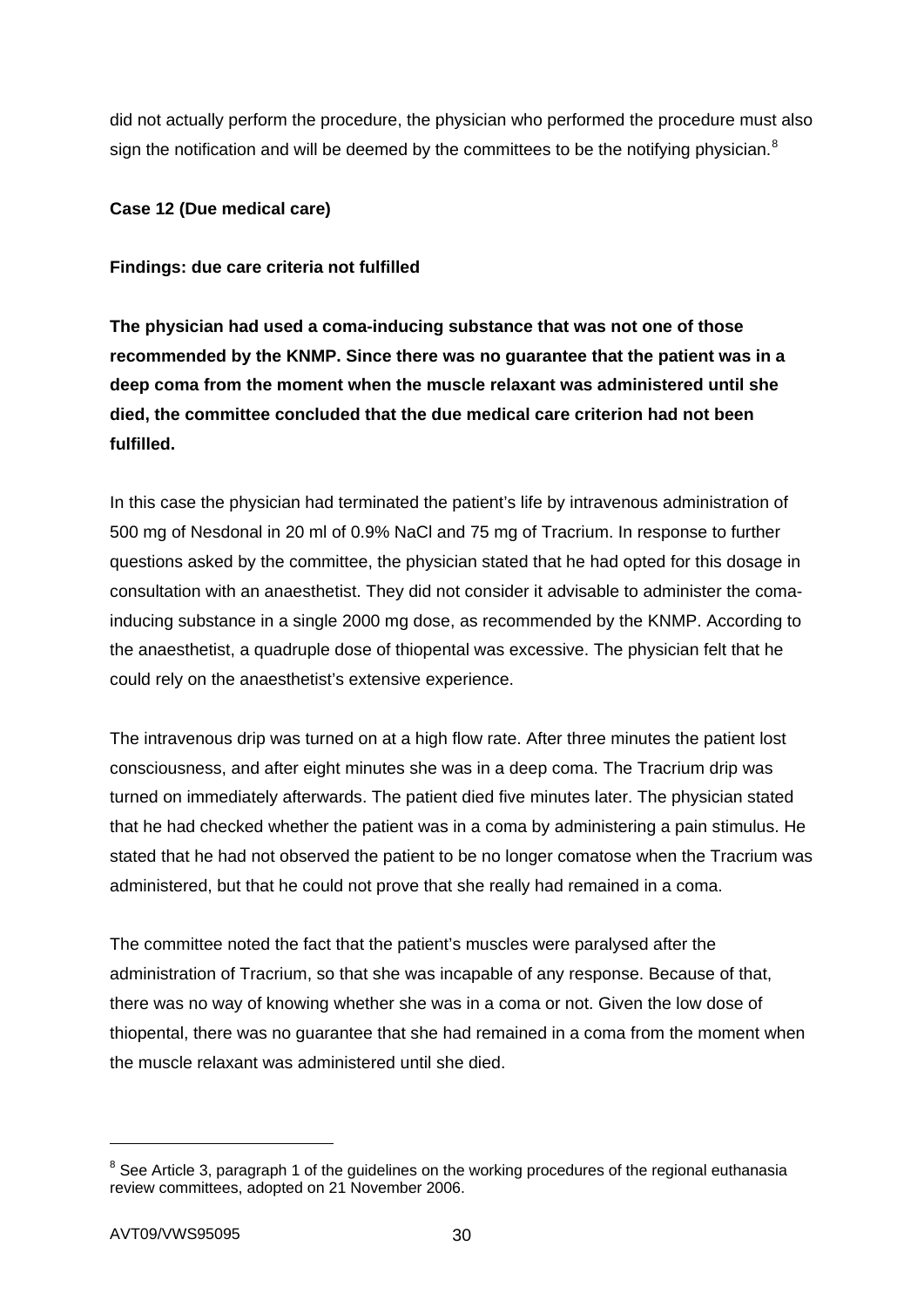did not actually perform the procedure, the physician who performed the procedure must also sign the notification and will be deemed by the committees to be the notifying physician.<sup>[8](#page-29-0)</sup>

# **Case 12 (Due medical care)**

# **Findings: due care criteria not fulfilled**

**The physician had used a coma-inducing substance that was not one of those recommended by the KNMP. Since there was no guarantee that the patient was in a deep coma from the moment when the muscle relaxant was administered until she died, the committee concluded that the due medical care criterion had not been fulfilled.**

In this case the physician had terminated the patient's life by intravenous administration of 500 mg of Nesdonal in 20 ml of 0.9% NaCl and 75 mg of Tracrium. In response to further questions asked by the committee, the physician stated that he had opted for this dosage in consultation with an anaesthetist. They did not consider it advisable to administer the comainducing substance in a single 2000 mg dose, as recommended by the KNMP. According to the anaesthetist, a quadruple dose of thiopental was excessive. The physician felt that he could rely on the anaesthetist's extensive experience.

The intravenous drip was turned on at a high flow rate. After three minutes the patient lost consciousness, and after eight minutes she was in a deep coma. The Tracrium drip was turned on immediately afterwards. The patient died five minutes later. The physician stated that he had checked whether the patient was in a coma by administering a pain stimulus. He stated that he had not observed the patient to be no longer comatose when the Tracrium was administered, but that he could not prove that she really had remained in a coma.

The committee noted the fact that the patient's muscles were paralysed after the administration of Tracrium, so that she was incapable of any response. Because of that, there was no way of knowing whether she was in a coma or not. Given the low dose of thiopental, there was no guarantee that she had remained in a coma from the moment when the muscle relaxant was administered until she died.

1

<span id="page-29-0"></span> $8$  See Article 3, paragraph 1 of the guidelines on the working procedures of the regional euthanasia review committees, adopted on 21 November 2006.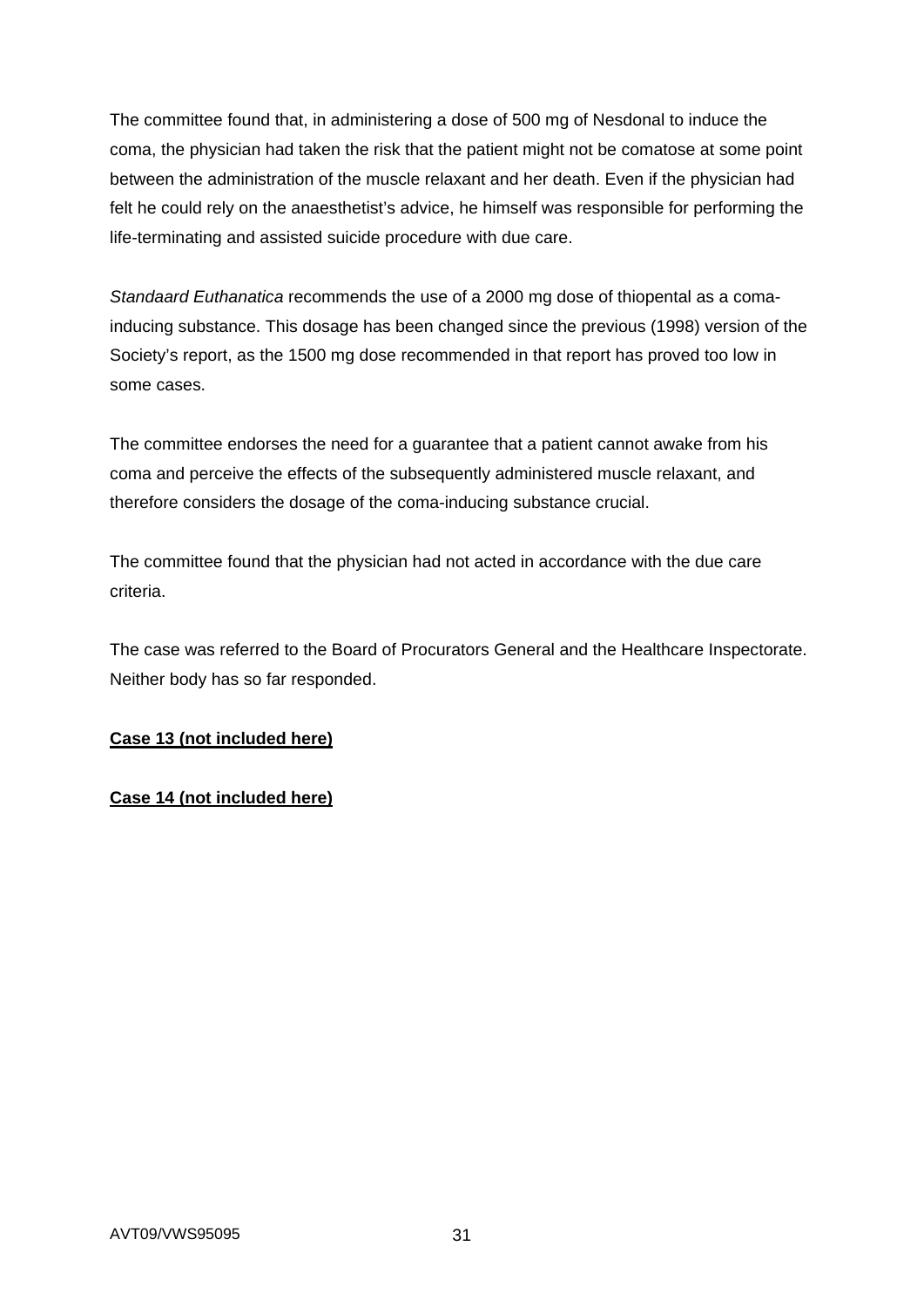The committee found that, in administering a dose of 500 mg of Nesdonal to induce the coma, the physician had taken the risk that the patient might not be comatose at some point between the administration of the muscle relaxant and her death. Even if the physician had felt he could rely on the anaesthetist's advice, he himself was responsible for performing the life-terminating and assisted suicide procedure with due care.

*Standaard Euthanatica* recommends the use of a 2000 mg dose of thiopental as a comainducing substance. This dosage has been changed since the previous (1998) version of the Society's report, as the 1500 mg dose recommended in that report has proved too low in some cases.

The committee endorses the need for a guarantee that a patient cannot awake from his coma and perceive the effects of the subsequently administered muscle relaxant, and therefore considers the dosage of the coma-inducing substance crucial.

The committee found that the physician had not acted in accordance with the due care criteria.

The case was referred to the Board of Procurators General and the Healthcare Inspectorate. Neither body has so far responded.

# **Case 13 (not included here)**

# **Case 14 (not included here)**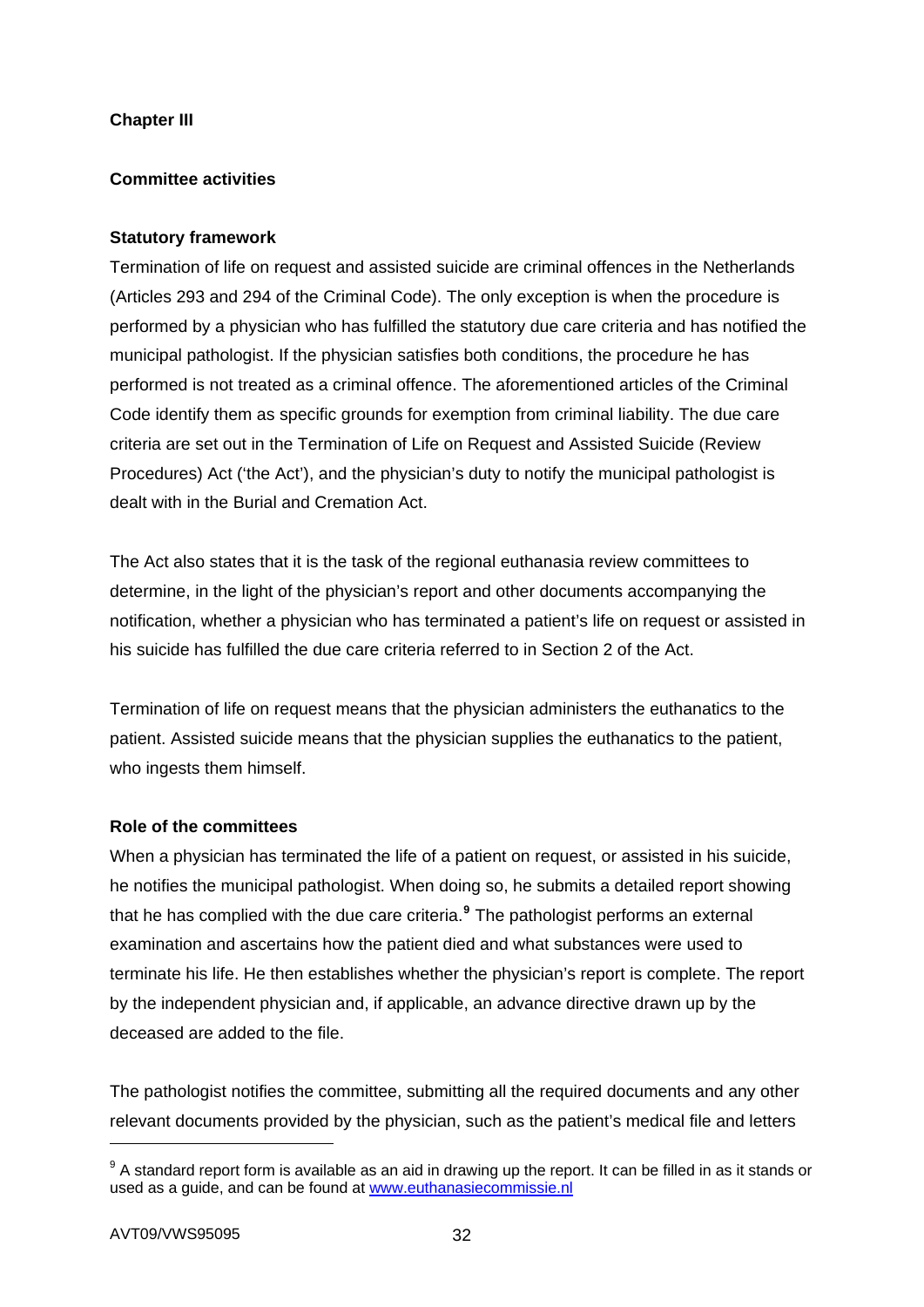# **Chapter III**

# **Committee activities**

## **Statutory framework**

Termination of life on request and assisted suicide are criminal offences in the Netherlands (Articles 293 and 294 of the Criminal Code). The only exception is when the procedure is performed by a physician who has fulfilled the statutory due care criteria and has notified the municipal pathologist. If the physician satisfies both conditions, the procedure he has performed is not treated as a criminal offence. The aforementioned articles of the Criminal Code identify them as specific grounds for exemption from criminal liability. The due care criteria are set out in the Termination of Life on Request and Assisted Suicide (Review Procedures) Act ('the Act'), and the physician's duty to notify the municipal pathologist is dealt with in the Burial and Cremation Act.

The Act also states that it is the task of the regional euthanasia review committees to determine, in the light of the physician's report and other documents accompanying the notification, whether a physician who has terminated a patient's life on request or assisted in his suicide has fulfilled the due care criteria referred to in Section 2 of the Act.

Termination of life on request means that the physician administers the euthanatics to the patient. Assisted suicide means that the physician supplies the euthanatics to the patient, who ingests them himself.

## **Role of the committees**

When a physician has terminated the life of a patient on request, or assisted in his suicide, he notifies the municipal pathologist. When doing so, he submits a detailed report showing that he has complied with the due care criteria.**[9](#page-31-0)** The pathologist performs an external examination and ascertains how the patient died and what substances were used to terminate his life. He then establishes whether the physician's report is complete. The report by the independent physician and, if applicable, an advance directive drawn up by the deceased are added to the file.

The pathologist notifies the committee, submitting all the required documents and any other relevant documents provided by the physician, such as the patient's medical file and letters

1

<span id="page-31-0"></span> $9$  A standard report form is available as an aid in drawing up the report. It can be filled in as it stands or used as a guide, and can be found at [www.euthanasiecommissie.nl](http://www.toetsingscommissieseuthanasie.nl/)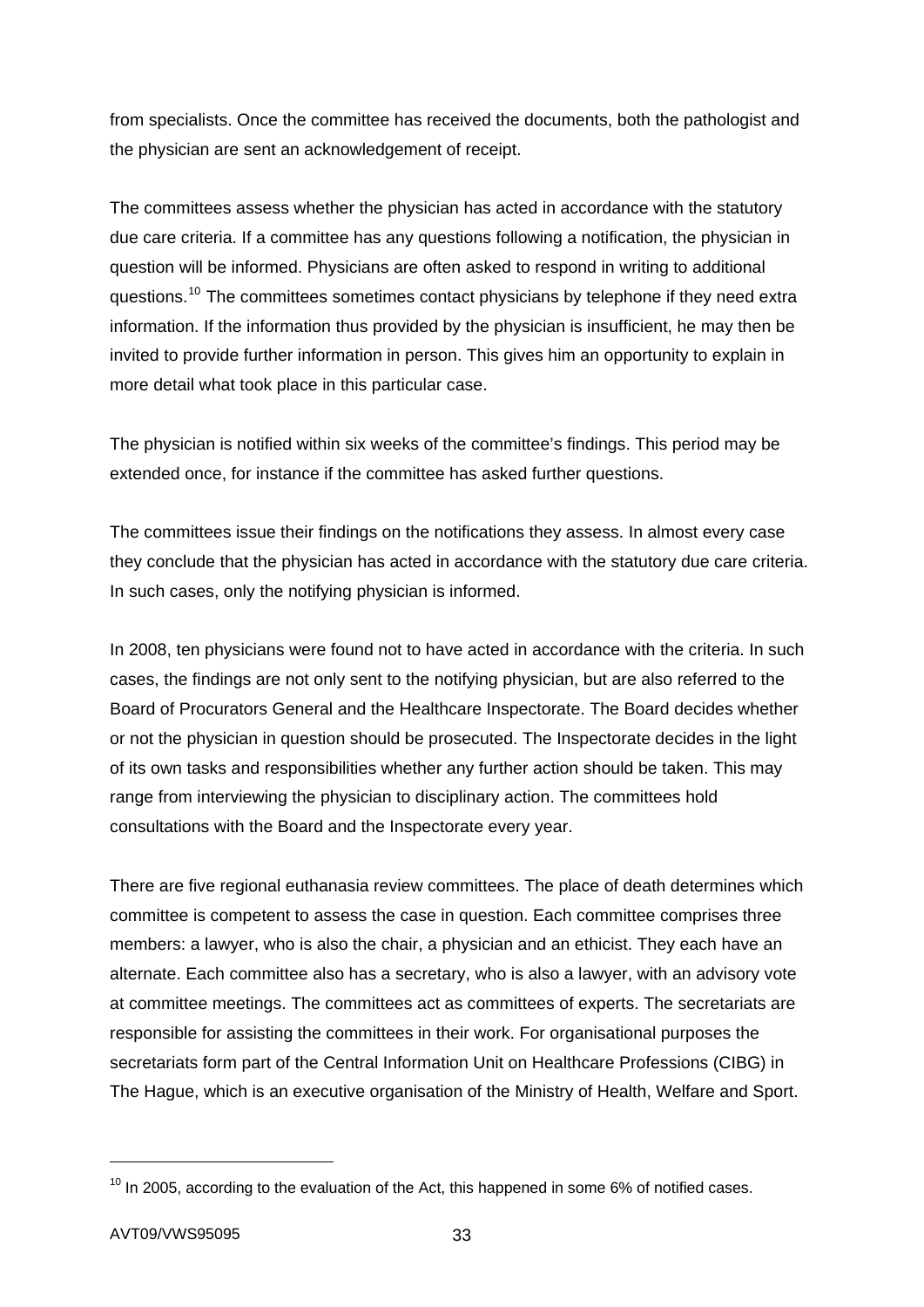from specialists. Once the committee has received the documents, both the pathologist and the physician are sent an acknowledgement of receipt.

The committees assess whether the physician has acted in accordance with the statutory due care criteria. If a committee has any questions following a notification, the physician in question will be informed. Physicians are often asked to respond in writing to additional questions.<sup>[10](#page-32-0)</sup> The committees sometimes contact physicians by telephone if they need extra information. If the information thus provided by the physician is insufficient, he may then be invited to provide further information in person. This gives him an opportunity to explain in more detail what took place in this particular case.

The physician is notified within six weeks of the committee's findings. This period may be extended once, for instance if the committee has asked further questions.

The committees issue their findings on the notifications they assess. In almost every case they conclude that the physician has acted in accordance with the statutory due care criteria. In such cases, only the notifying physician is informed.

In 2008, ten physicians were found not to have acted in accordance with the criteria. In such cases, the findings are not only sent to the notifying physician, but are also referred to the Board of Procurators General and the Healthcare Inspectorate. The Board decides whether or not the physician in question should be prosecuted. The Inspectorate decides in the light of its own tasks and responsibilities whether any further action should be taken. This may range from interviewing the physician to disciplinary action. The committees hold consultations with the Board and the Inspectorate every year.

There are five regional euthanasia review committees. The place of death determines which committee is competent to assess the case in question. Each committee comprises three members: a lawyer, who is also the chair, a physician and an ethicist. They each have an alternate. Each committee also has a secretary, who is also a lawyer, with an advisory vote at committee meetings. The committees act as committees of experts. The secretariats are responsible for assisting the committees in their work. For organisational purposes the secretariats form part of the Central Information Unit on Healthcare Professions (CIBG) in The Hague, which is an executive organisation of the Ministry of Health, Welfare and Sport.

1

<span id="page-32-0"></span> $10$  In 2005, according to the evaluation of the Act, this happened in some 6% of notified cases.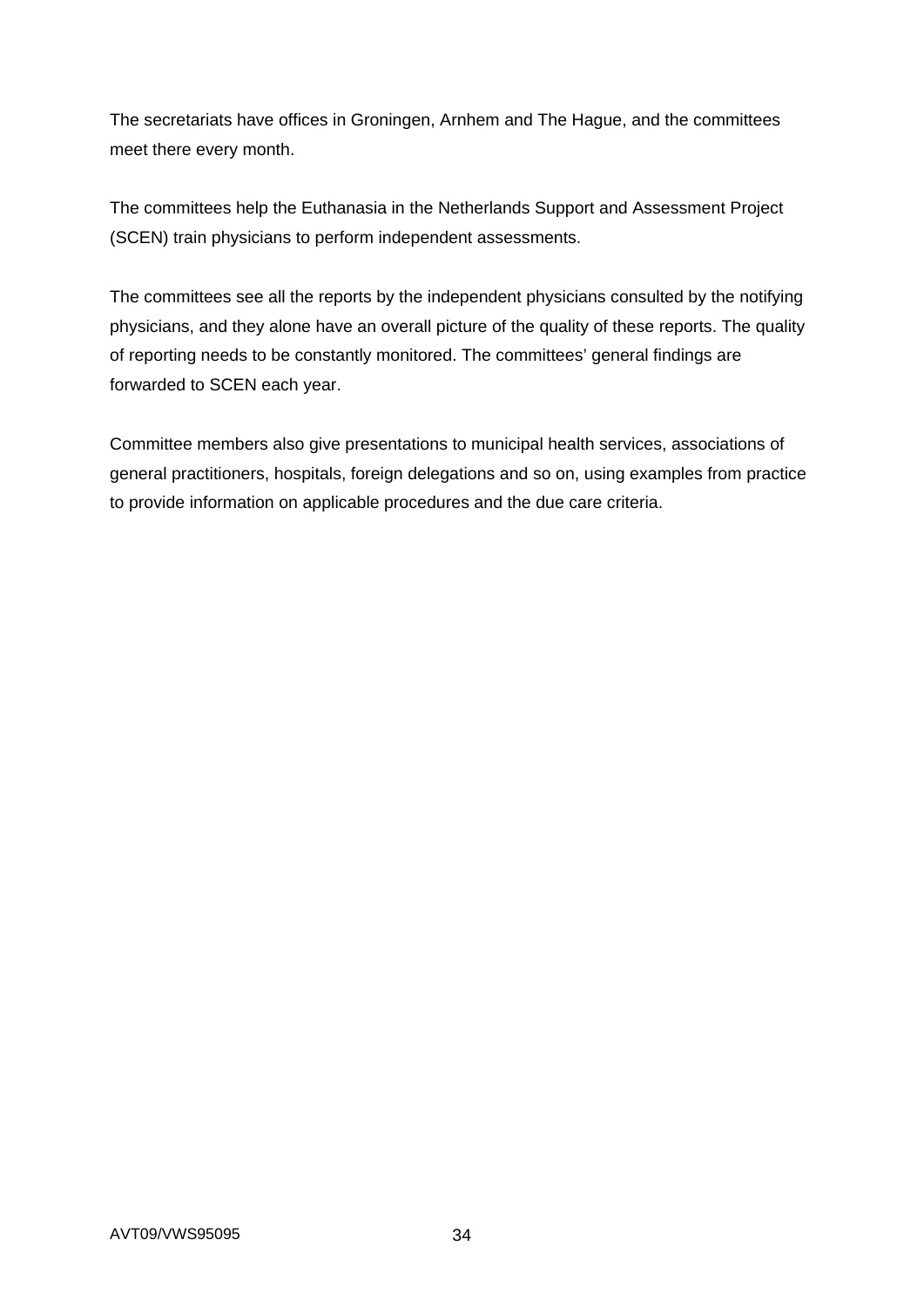The secretariats have offices in Groningen, Arnhem and The Hague, and the committees meet there every month.

The committees help the Euthanasia in the Netherlands Support and Assessment Project (SCEN) train physicians to perform independent assessments.

The committees see all the reports by the independent physicians consulted by the notifying physicians, and they alone have an overall picture of the quality of these reports. The quality of reporting needs to be constantly monitored. The committees' general findings are forwarded to SCEN each year.

Committee members also give presentations to municipal health services, associations of general practitioners, hospitals, foreign delegations and so on, using examples from practice to provide information on applicable procedures and the due care criteria.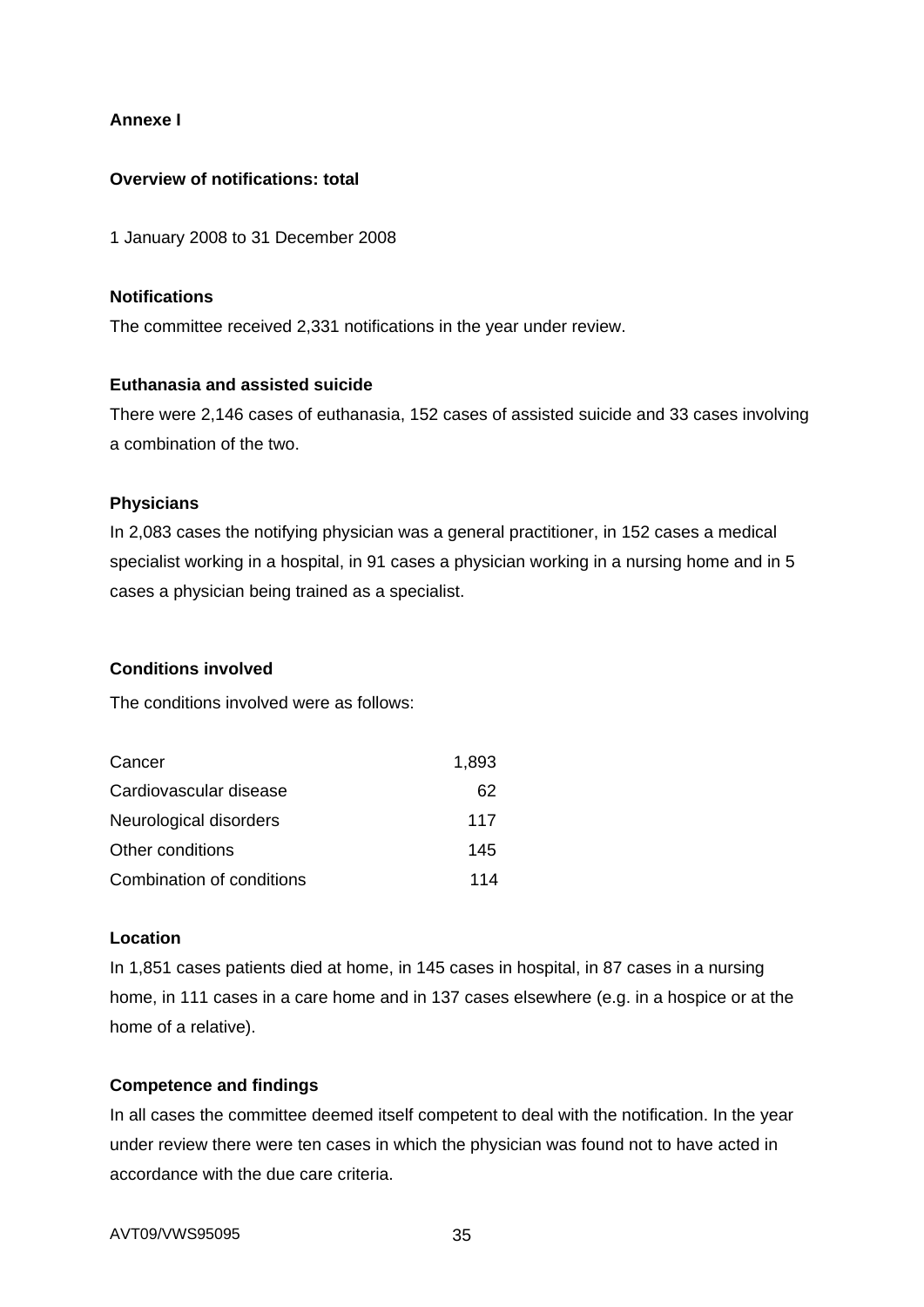## **Annexe I**

## **Overview of notifications: total**

1 January 2008 to 31 December 2008

### **Notifications**

The committee received 2,331 notifications in the year under review.

### **Euthanasia and assisted suicide**

There were 2,146 cases of euthanasia, 152 cases of assisted suicide and 33 cases involving a combination of the two.

# **Physicians**

In 2,083 cases the notifying physician was a general practitioner, in 152 cases a medical specialist working in a hospital, in 91 cases a physician working in a nursing home and in 5 cases a physician being trained as a specialist.

## **Conditions involved**

The conditions involved were as follows:

| Cancer                    | 1,893 |
|---------------------------|-------|
| Cardiovascular disease    | 62    |
| Neurological disorders    | 117   |
| Other conditions          | 145   |
| Combination of conditions | 114   |

### **Location**

In 1,851 cases patients died at home, in 145 cases in hospital, in 87 cases in a nursing home, in 111 cases in a care home and in 137 cases elsewhere (e.g. in a hospice or at the home of a relative).

## **Competence and findings**

In all cases the committee deemed itself competent to deal with the notification. In the year under review there were ten cases in which the physician was found not to have acted in accordance with the due care criteria.